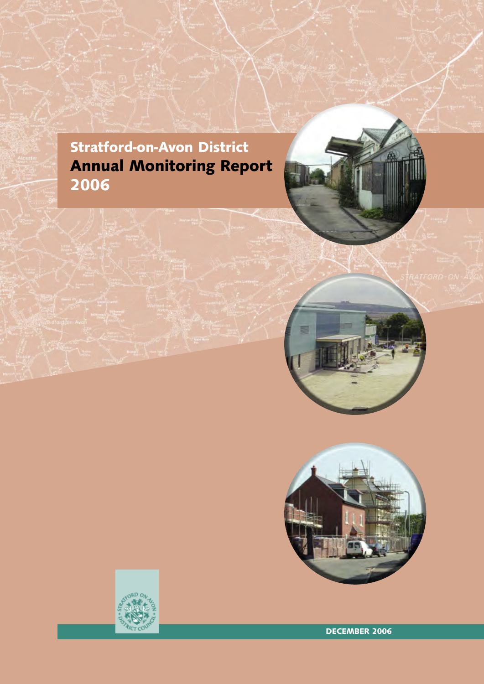# **Stratford-on-Avon District Annual Monitoring Report 2006**





**DECEMBER 2006**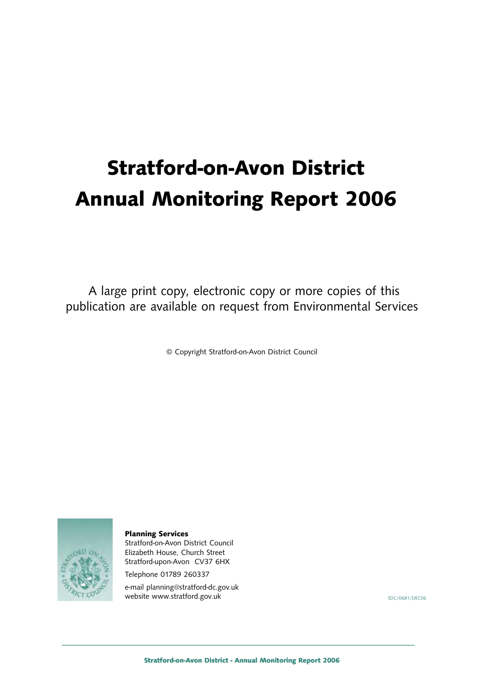# **Stratford-on-Avon District Annual Monitoring Report 2006**

A large print copy, electronic copy or more copies of this publication are available on request from Environmental Services

© Copyright Stratford-on-Avon District Council



**Planning Services**

Stratford-on-Avon District Council Elizabeth House, Church Street Stratford-upon-Avon CV37 6HX

Telephone 01789 260337

e-mail planning@stratford-dc.gov.uk website www.stratford.gov.uk SDC/0681/DEC06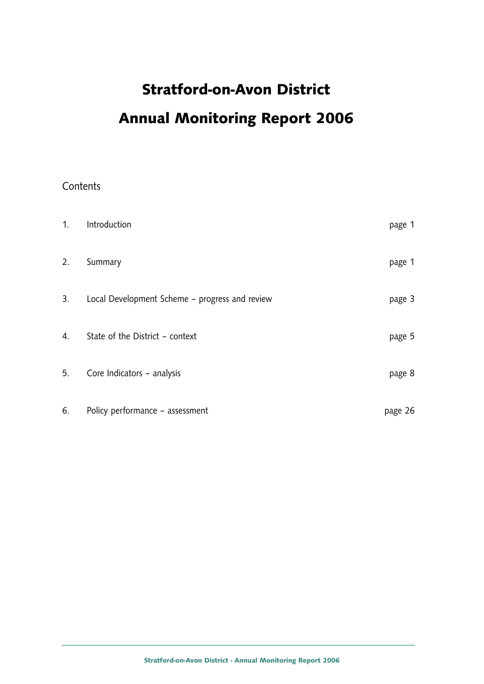# **Stratford-on-Avon District Annual Monitoring Report 2006**

# **Contents**

| 1. | Introduction                                   | page 1  |
|----|------------------------------------------------|---------|
| 2. | Summary                                        | page 1  |
| 3. | Local Development Scheme - progress and review | page 3  |
| 4. | State of the District - context                | page 5  |
| 5. | Core Indicators - analysis                     | page 8  |
| 6. | Policy performance - assessment                | page 26 |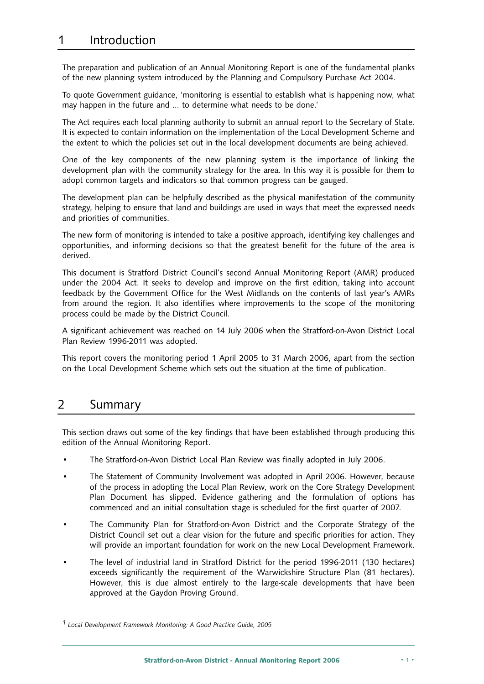# 1 Introduction

The preparation and publication of an Annual Monitoring Report is one of the fundamental planks of the new planning system introduced by the Planning and Compulsory Purchase Act 2004.

To quote Government guidance, 'monitoring is essential to establish what is happening now, what may happen in the future and … to determine what needs to be done.'

The Act requires each local planning authority to submit an annual report to the Secretary of State. It is expected to contain information on the implementation of the Local Development Scheme and the extent to which the policies set out in the local development documents are being achieved.

One of the key components of the new planning system is the importance of linking the development plan with the community strategy for the area. In this way it is possible for them to adopt common targets and indicators so that common progress can be gauged.

The development plan can be helpfully described as the physical manifestation of the community strategy, helping to ensure that land and buildings are used in ways that meet the expressed needs and priorities of communities.

The new form of monitoring is intended to take a positive approach, identifying key challenges and opportunities, and informing decisions so that the greatest benefit for the future of the area is derived.

This document is Stratford District Council's second Annual Monitoring Report (AMR) produced under the 2004 Act. It seeks to develop and improve on the first edition, taking into account feedback by the Government Office for the West Midlands on the contents of last year's AMRs from around the region. It also identifies where improvements to the scope of the monitoring process could be made by the District Council.

A significant achievement was reached on 14 July 2006 when the Stratford-on-Avon District Local Plan Review 1996-2011 was adopted.

This report covers the monitoring period 1 April 2005 to 31 March 2006, apart from the section on the Local Development Scheme which sets out the situation at the time of publication.

# 2 Summary

This section draws out some of the key findings that have been established through producing this edition of the Annual Monitoring Report.

- The Stratford-on-Avon District Local Plan Review was finally adopted in July 2006.
- The Statement of Community Involvement was adopted in April 2006. However, because of the process in adopting the Local Plan Review, work on the Core Strategy Development Plan Document has slipped. Evidence gathering and the formulation of options has commenced and an initial consultation stage is scheduled for the first quarter of 2007.
- The Community Plan for Stratford-on-Avon District and the Corporate Strategy of the District Council set out a clear vision for the future and specific priorities for action. They will provide an important foundation for work on the new Local Development Framework.
- The level of industrial land in Stratford District for the period 1996-2011 (130 hectares) exceeds significantly the requirement of the Warwickshire Structure Plan (81 hectares). However, this is due almost entirely to the large-scale developments that have been approved at the Gaydon Proving Ground.

*<sup>1</sup> Local Development Framework Monitoring: A Good Practice Guide, 2005*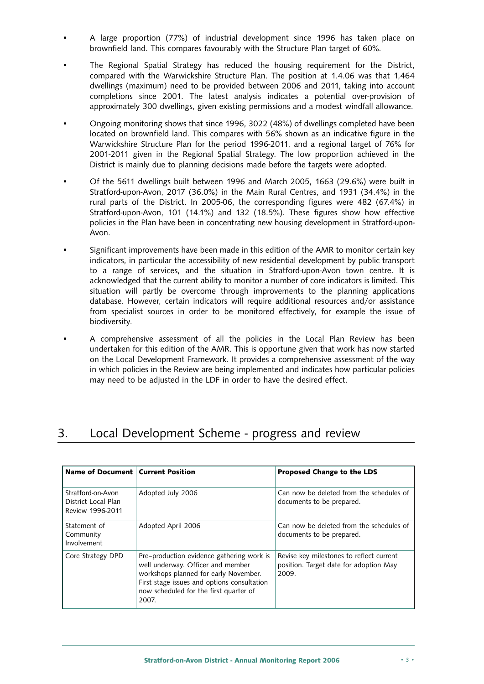- A large proportion (77%) of industrial development since 1996 has taken place on brownfield land. This compares favourably with the Structure Plan target of 60%.
- The Regional Spatial Strategy has reduced the housing requirement for the District, compared with the Warwickshire Structure Plan. The position at 1.4.06 was that 1,464 dwellings (maximum) need to be provided between 2006 and 2011, taking into account completions since 2001. The latest analysis indicates a potential over-provision of approximately 300 dwellings, given existing permissions and a modest windfall allowance.
- Ongoing monitoring shows that since 1996, 3022 (48%) of dwellings completed have been located on brownfield land. This compares with 56% shown as an indicative figure in the Warwickshire Structure Plan for the period 1996-2011, and a regional target of 76% for 2001-2011 given in the Regional Spatial Strategy. The low proportion achieved in the District is mainly due to planning decisions made before the targets were adopted.
- Of the 5611 dwellings built between 1996 and March 2005, 1663 (29.6%) were built in Stratford-upon-Avon, 2017 (36.0%) in the Main Rural Centres, and 1931 (34.4%) in the rural parts of the District. In 2005-06, the corresponding figures were 482 (67.4%) in Stratford-upon-Avon, 101 (14.1%) and 132 (18.5%). These figures show how effective policies in the Plan have been in concentrating new housing development in Stratford-upon-Avon.
- Significant improvements have been made in this edition of the AMR to monitor certain key indicators, in particular the accessibility of new residential development by public transport to a range of services, and the situation in Stratford-upon-Avon town centre. It is acknowledged that the current ability to monitor a number of core indicators is limited. This situation will partly be overcome through improvements to the planning applications database. However, certain indicators will require additional resources and/or assistance from specialist sources in order to be monitored effectively, for example the issue of biodiversity.
- A comprehensive assessment of all the policies in the Local Plan Review has been undertaken for this edition of the AMR. This is opportune given that work has now started on the Local Development Framework. It provides a comprehensive assessment of the way in which policies in the Review are being implemented and indicates how particular policies may need to be adjusted in the LDF in order to have the desired effect.

# 3. Local Development Scheme - progress and review

| Name of Document   Current Position                          |                                                                                                                                                                                                                           | Proposed Change to the LDS                                                                  |
|--------------------------------------------------------------|---------------------------------------------------------------------------------------------------------------------------------------------------------------------------------------------------------------------------|---------------------------------------------------------------------------------------------|
| Stratford-on-Avon<br>District Local Plan<br>Review 1996-2011 | Adopted July 2006                                                                                                                                                                                                         | Can now be deleted from the schedules of<br>documents to be prepared.                       |
| Statement of<br>Community<br>Involvement                     | Adopted April 2006                                                                                                                                                                                                        | Can now be deleted from the schedules of<br>documents to be prepared.                       |
| Core Strategy DPD                                            | Pre-production evidence gathering work is<br>well underway. Officer and member<br>workshops planned for early November.<br>First stage issues and options consultation<br>now scheduled for the first quarter of<br>2007. | Revise key milestones to reflect current<br>position. Target date for adoption May<br>2009. |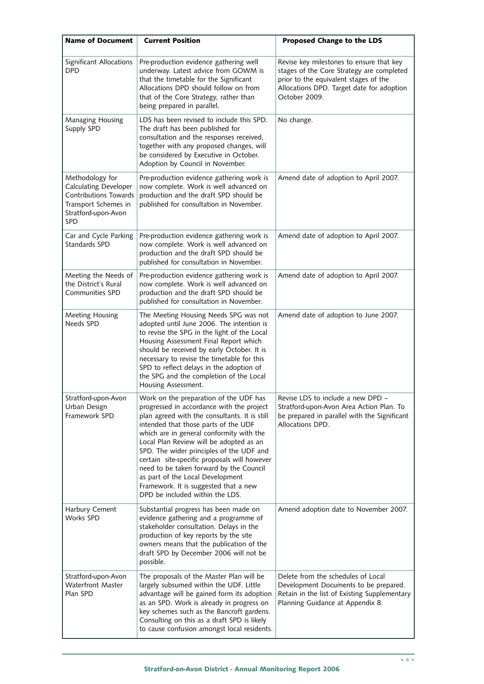| <b>Name of Document</b>                                                                                                                      | <b>Current Position</b>                                                                                                                                                                                                                                                                                                                                                                                                                                                                                                    | Proposed Change to the LDS                                                                                                                                                                   |
|----------------------------------------------------------------------------------------------------------------------------------------------|----------------------------------------------------------------------------------------------------------------------------------------------------------------------------------------------------------------------------------------------------------------------------------------------------------------------------------------------------------------------------------------------------------------------------------------------------------------------------------------------------------------------------|----------------------------------------------------------------------------------------------------------------------------------------------------------------------------------------------|
| Significant Allocations<br><b>DPD</b>                                                                                                        | Pre-production evidence gathering well<br>underway. Latest advice from GOWM is<br>that the timetable for the Significant<br>Allocations DPD should follow on from<br>that of the Core Strategy, rather than<br>being prepared in parallel.                                                                                                                                                                                                                                                                                 | Revise key milestones to ensure that key<br>stages of the Core Strategy are completed<br>prior to the equivalent stages of the<br>Allocations DPD. Target date for adoption<br>October 2009. |
| Managing Housing<br>Supply SPD                                                                                                               | LDS has been revised to include this SPD.<br>The draft has been published for<br>consultation and the responses received,<br>together with any proposed changes, will<br>be considered by Executive in October.<br>Adoption by Council in November.                                                                                                                                                                                                                                                                        | No change.                                                                                                                                                                                   |
| Methodology for<br><b>Calculating Developer</b><br><b>Contributions Towards</b><br>Transport Schemes in<br>Stratford-upon-Avon<br><b>SPD</b> | Pre-production evidence gathering work is<br>now complete. Work is well advanced on<br>production and the draft SPD should be<br>published for consultation in November.                                                                                                                                                                                                                                                                                                                                                   | Amend date of adoption to April 2007.                                                                                                                                                        |
| Car and Cycle Parking<br>Standards SPD                                                                                                       | Pre-production evidence gathering work is<br>now complete. Work is well advanced on<br>production and the draft SPD should be<br>published for consultation in November.                                                                                                                                                                                                                                                                                                                                                   | Amend date of adoption to April 2007.                                                                                                                                                        |
| Meeting the Needs of<br>the District's Rural<br><b>Communities SPD</b>                                                                       | Pre-production evidence gathering work is<br>now complete. Work is well advanced on<br>production and the draft SPD should be<br>published for consultation in November.                                                                                                                                                                                                                                                                                                                                                   | Amend date of adoption to April 2007.                                                                                                                                                        |
| Meeting Housing<br>Needs SPD                                                                                                                 | The Meeting Housing Needs SPG was not<br>adopted until June 2006. The intention is<br>to revise the SPG in the light of the Local<br>Housing Assessment Final Report which<br>should be received by early October. It is<br>necessary to revise the timetable for this<br>SPD to reflect delays in the adoption of<br>the SPG and the completion of the Local<br>Housing Assessment.                                                                                                                                       | Amend date of adoption to June 2007.                                                                                                                                                         |
| Stratford-upon-Avon<br>Urban Design<br>Framework SPD                                                                                         | Work on the preparation of the UDF has<br>progressed in accordance with the project<br>plan agreed with the consultants. It is still<br>intended that those parts of the UDF<br>which are in general conformity with the<br>Local Plan Review will be adopted as an<br>SPD. The wider principles of the UDF and<br>certain site-specific proposals will however<br>need to be taken forward by the Council<br>as part of the Local Development<br>Framework. It is suggested that a new<br>DPD be included within the LDS. | Revise LDS to include a new DPD<br>Stratford-upon-Avon Area Action Plan. To<br>be prepared in parallel with the Significant<br>Allocations DPD.                                              |
| Harbury Cement<br><b>Works SPD</b>                                                                                                           | Substantial progress has been made on<br>evidence gathering and a programme of<br>stakeholder consultation. Delays in the<br>production of key reports by the site<br>owners means that the publication of the<br>draft SPD by December 2006 will not be<br>possible.                                                                                                                                                                                                                                                      | Amend adoption date to November 2007.                                                                                                                                                        |
| Stratford-upon-Avon<br><b>Waterfront Master</b><br>Plan SPD                                                                                  | The proposals of the Master Plan will be<br>largely subsumed within the UDF. Little<br>advantage will be gained form its adoption<br>as an SPD. Work is already in progress on<br>key schemes such as the Bancroft gardens.<br>Consulting on this as a draft SPD is likely<br>to cause confusion amongst local residents.                                                                                                                                                                                                  | Delete from the schedules of Local<br>Development Documents to be prepared.<br>Retain in the list of Existing Supplementary<br>Planning Guidance at Appendix 8.                              |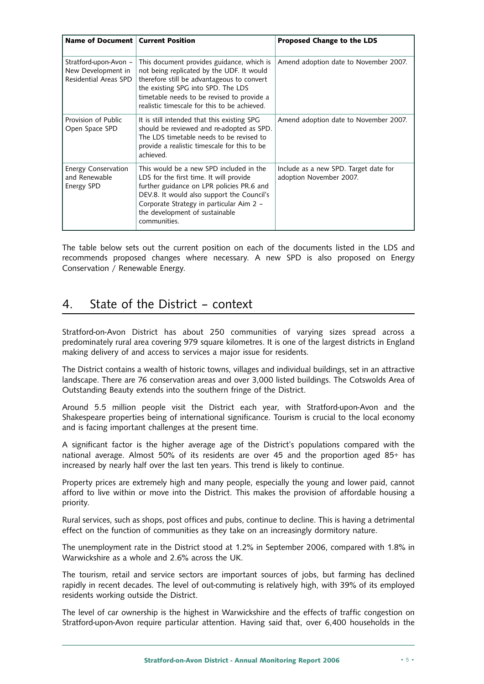| Name of Document   Current Position                                  |                                                                                                                                                                                                                                                                             | <b>Proposed Change to the LDS</b>                                |
|----------------------------------------------------------------------|-----------------------------------------------------------------------------------------------------------------------------------------------------------------------------------------------------------------------------------------------------------------------------|------------------------------------------------------------------|
| Stratford-upon-Avon -<br>New Development in<br>Residential Areas SPD | This document provides guidance, which is<br>not being replicated by the UDF. It would<br>therefore still be advantageous to convert<br>the existing SPG into SPD. The LDS<br>timetable needs to be revised to provide a<br>realistic timescale for this to be achieved.    | Amend adoption date to November 2007.                            |
| Provision of Public<br>Open Space SPD                                | It is still intended that this existing SPG<br>should be reviewed and re-adopted as SPD.<br>The LDS timetable needs to be revised to<br>provide a realistic timescale for this to be<br>achieved.                                                                           | Amend adoption date to November 2007.                            |
| Energy Conservation<br>and Renewable<br>Energy SPD                   | This would be a new SPD included in the<br>LDS for the first time. It will provide<br>further guidance on LPR policies PR.6 and<br>DEV.8. It would also support the Council's<br>Corporate Strategy in particular Aim 2 -<br>the development of sustainable<br>communities. | Include as a new SPD. Target date for<br>adoption November 2007. |

The table below sets out the current position on each of the documents listed in the LDS and recommends proposed changes where necessary. A new SPD is also proposed on Energy Conservation / Renewable Energy.

# 4. State of the District – context

Stratford-on-Avon District has about 250 communities of varying sizes spread across a predominately rural area covering 979 square kilometres. It is one of the largest districts in England making delivery of and access to services a major issue for residents.

The District contains a wealth of historic towns, villages and individual buildings, set in an attractive landscape. There are 76 conservation areas and over 3,000 listed buildings. The Cotswolds Area of Outstanding Beauty extends into the southern fringe of the District.

Around 5.5 million people visit the District each year, with Stratford-upon-Avon and the Shakespeare properties being of international significance. Tourism is crucial to the local economy and is facing important challenges at the present time.

A significant factor is the higher average age of the District's populations compared with the national average. Almost 50% of its residents are over 45 and the proportion aged 85+ has increased by nearly half over the last ten years. This trend is likely to continue.

Property prices are extremely high and many people, especially the young and lower paid, cannot afford to live within or move into the District. This makes the provision of affordable housing a priority.

Rural services, such as shops, post offices and pubs, continue to decline. This is having a detrimental effect on the function of communities as they take on an increasingly dormitory nature.

The unemployment rate in the District stood at 1.2% in September 2006, compared with 1.8% in Warwickshire as a whole and 2.6% across the UK.

The tourism, retail and service sectors are important sources of jobs, but farming has declined rapidly in recent decades. The level of out-commuting is relatively high, with 39% of its employed residents working outside the District.

The level of car ownership is the highest in Warwickshire and the effects of traffic congestion on Stratford-upon-Avon require particular attention. Having said that, over 6,400 households in the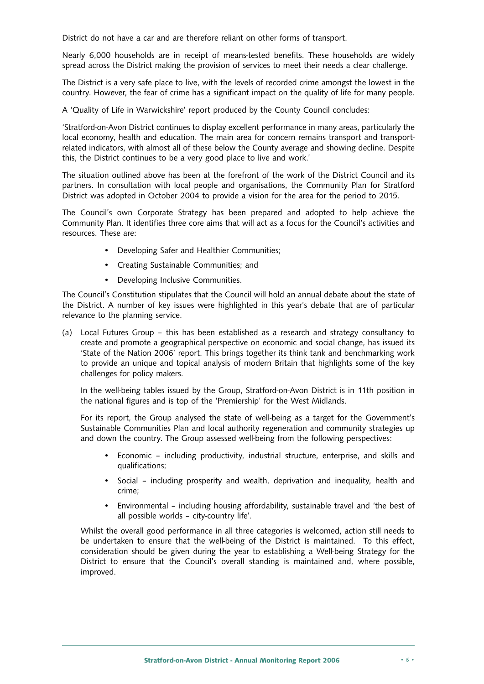District do not have a car and are therefore reliant on other forms of transport.

Nearly 6,000 households are in receipt of means-tested benefits. These households are widely spread across the District making the provision of services to meet their needs a clear challenge.

The District is a very safe place to live, with the levels of recorded crime amongst the lowest in the country. However, the fear of crime has a significant impact on the quality of life for many people.

A 'Quality of Life in Warwickshire' report produced by the County Council concludes:

'Stratford-on-Avon District continues to display excellent performance in many areas, particularly the local economy, health and education. The main area for concern remains transport and transportrelated indicators, with almost all of these below the County average and showing decline. Despite this, the District continues to be a very good place to live and work.'

The situation outlined above has been at the forefront of the work of the District Council and its partners. In consultation with local people and organisations, the Community Plan for Stratford District was adopted in October 2004 to provide a vision for the area for the period to 2015.

The Council's own Corporate Strategy has been prepared and adopted to help achieve the Community Plan. It identifies three core aims that will act as a focus for the Council's activities and resources. These are:

- Developing Safer and Healthier Communities;
- Creating Sustainable Communities; and
- Developing Inclusive Communities.

The Council's Constitution stipulates that the Council will hold an annual debate about the state of the District. A number of key issues were highlighted in this year's debate that are of particular relevance to the planning service.

(a) Local Futures Group – this has been established as a research and strategy consultancy to create and promote a geographical perspective on economic and social change, has issued its 'State of the Nation 2006' report. This brings together its think tank and benchmarking work to provide an unique and topical analysis of modern Britain that highlights some of the key challenges for policy makers.

In the well-being tables issued by the Group, Stratford-on-Avon District is in 11th position in the national figures and is top of the 'Premiership' for the West Midlands.

For its report, the Group analysed the state of well-being as a target for the Government's Sustainable Communities Plan and local authority regeneration and community strategies up and down the country. The Group assessed well-being from the following perspectives:

- Economic including productivity, industrial structure, enterprise, and skills and qualifications;
- Social including prosperity and wealth, deprivation and inequality, health and crime;
- Environmental including housing affordability, sustainable travel and 'the best of all possible worlds – city-country life'.

Whilst the overall good performance in all three categories is welcomed, action still needs to be undertaken to ensure that the well-being of the District is maintained. To this effect, consideration should be given during the year to establishing a Well-being Strategy for the District to ensure that the Council's overall standing is maintained and, where possible, improved.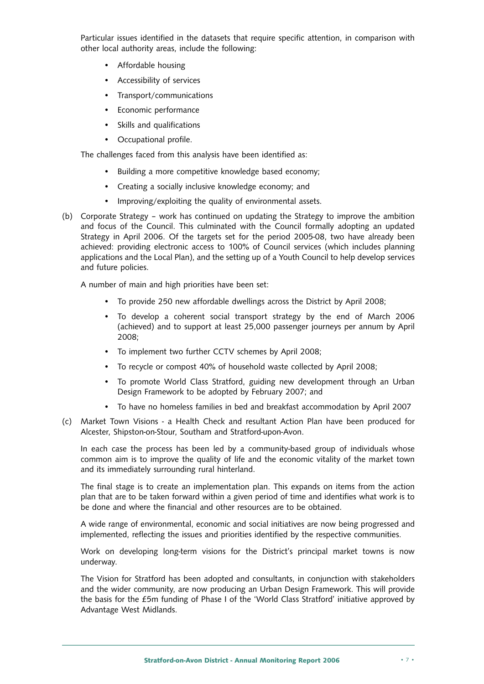Particular issues identified in the datasets that require specific attention, in comparison with other local authority areas, include the following:

- Affordable housing
- Accessibility of services
- Transport/communications
- Economic performance
- Skills and qualifications
- Occupational profile.

The challenges faced from this analysis have been identified as:

- Building a more competitive knowledge based economy;
- Creating a socially inclusive knowledge economy; and
- Improving/exploiting the quality of environmental assets.
- (b) Corporate Strategy work has continued on updating the Strategy to improve the ambition and focus of the Council. This culminated with the Council formally adopting an updated Strategy in April 2006. Of the targets set for the period 2005-08, two have already been achieved: providing electronic access to 100% of Council services (which includes planning applications and the Local Plan), and the setting up of a Youth Council to help develop services and future policies.

A number of main and high priorities have been set:

- To provide 250 new affordable dwellings across the District by April 2008;
- To develop a coherent social transport strategy by the end of March 2006 (achieved) and to support at least 25,000 passenger journeys per annum by April 2008;
- To implement two further CCTV schemes by April 2008;
- To recycle or compost 40% of household waste collected by April 2008;
- To promote World Class Stratford, guiding new development through an Urban Design Framework to be adopted by February 2007; and
- To have no homeless families in bed and breakfast accommodation by April 2007
- (c) Market Town Visions a Health Check and resultant Action Plan have been produced for Alcester, Shipston-on-Stour, Southam and Stratford-upon-Avon.

In each case the process has been led by a community-based group of individuals whose common aim is to improve the quality of life and the economic vitality of the market town and its immediately surrounding rural hinterland.

The final stage is to create an implementation plan. This expands on items from the action plan that are to be taken forward within a given period of time and identifies what work is to be done and where the financial and other resources are to be obtained.

A wide range of environmental, economic and social initiatives are now being progressed and implemented, reflecting the issues and priorities identified by the respective communities.

Work on developing long-term visions for the District's principal market towns is now underway.

The Vision for Stratford has been adopted and consultants, in conjunction with stakeholders and the wider community, are now producing an Urban Design Framework. This will provide the basis for the £5m funding of Phase I of the 'World Class Stratford' initiative approved by Advantage West Midlands.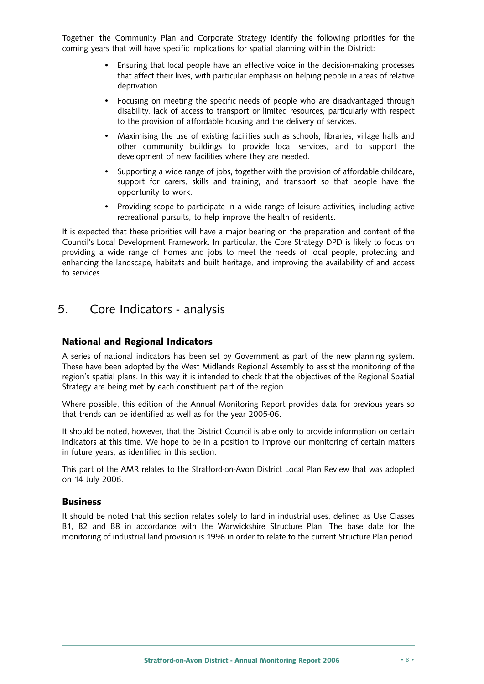Together, the Community Plan and Corporate Strategy identify the following priorities for the coming years that will have specific implications for spatial planning within the District:

- Ensuring that local people have an effective voice in the decision-making processes that affect their lives, with particular emphasis on helping people in areas of relative deprivation.
- Focusing on meeting the specific needs of people who are disadvantaged through disability, lack of access to transport or limited resources, particularly with respect to the provision of affordable housing and the delivery of services.
- Maximising the use of existing facilities such as schools, libraries, village halls and other community buildings to provide local services, and to support the development of new facilities where they are needed.
- Supporting a wide range of jobs, together with the provision of affordable childcare, support for carers, skills and training, and transport so that people have the opportunity to work.
- Providing scope to participate in a wide range of leisure activities, including active recreational pursuits, to help improve the health of residents.

It is expected that these priorities will have a major bearing on the preparation and content of the Council's Local Development Framework. In particular, the Core Strategy DPD is likely to focus on providing a wide range of homes and jobs to meet the needs of local people, protecting and enhancing the landscape, habitats and built heritage, and improving the availability of and access to services.

# 5. Core Indicators - analysis

# **National and Regional Indicators**

A series of national indicators has been set by Government as part of the new planning system. These have been adopted by the West Midlands Regional Assembly to assist the monitoring of the region's spatial plans. In this way it is intended to check that the objectives of the Regional Spatial Strategy are being met by each constituent part of the region.

Where possible, this edition of the Annual Monitoring Report provides data for previous years so that trends can be identified as well as for the year 2005-06.

It should be noted, however, that the District Council is able only to provide information on certain indicators at this time. We hope to be in a position to improve our monitoring of certain matters in future years, as identified in this section.

This part of the AMR relates to the Stratford-on-Avon District Local Plan Review that was adopted on 14 July 2006.

### **Business**

It should be noted that this section relates solely to land in industrial uses, defined as Use Classes B1, B2 and B8 in accordance with the Warwickshire Structure Plan. The base date for the monitoring of industrial land provision is 1996 in order to relate to the current Structure Plan period.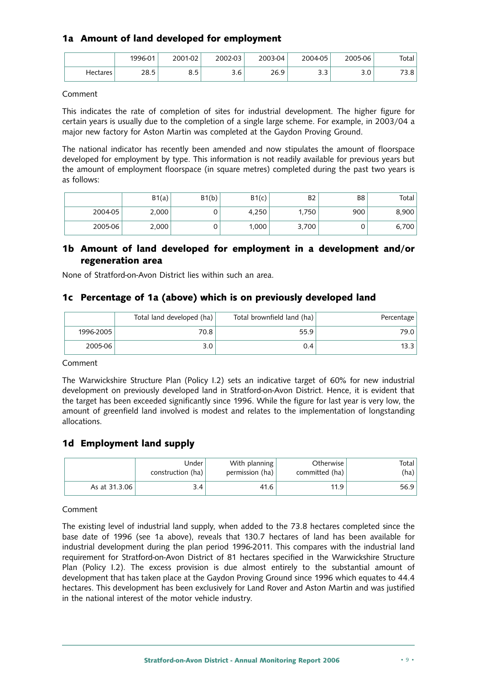# **1a Amount of land developed for employment**

|          | 1996-01 | 2001-02      | 2002-03 | 2003-04 | 2004-05              | 2005-06   | Total           |
|----------|---------|--------------|---------|---------|----------------------|-----------|-----------------|
| Hectares | 28.5    | ᄋ ᄃ<br>ر . ب | 3.6     | 26.9    | $\sim$ $\sim$<br>ر.ر | ົົ<br>J.U | フつ<br>n.<br>ه.د |

Comment

This indicates the rate of completion of sites for industrial development. The higher figure for certain years is usually due to the completion of a single large scheme. For example, in 2003/04 a major new factory for Aston Martin was completed at the Gaydon Proving Ground.

The national indicator has recently been amended and now stipulates the amount of floorspace developed for employment by type. This information is not readily available for previous years but the amount of employment floorspace (in square metres) completed during the past two years is as follows:

|         | B1(a) | B1(b) | B1(c) | B2    | B <sub>8</sub> | Total I |
|---------|-------|-------|-------|-------|----------------|---------|
| 2004-05 | 2,000 | U     | 4.250 | 1.750 | 900            | 8,900   |
| 2005-06 | 2,000 | U     | 1.000 | 3,700 |                | 6,700   |

# **1b Amount of land developed for employment in a development and/or regeneration area**

None of Stratford-on-Avon District lies within such an area.

# **1c Percentage of 1a (above) which is on previously developed land**

|           | Total land developed (ha) | Total brownfield land (ha) | Percentage |
|-----------|---------------------------|----------------------------|------------|
| 1996-2005 | 70.8                      | 55.9                       | 79.0       |
| 2005-06   | 3.0                       | 0.4                        |            |

Comment

The Warwickshire Structure Plan (Policy I.2) sets an indicative target of 60% for new industrial development on previously developed land in Stratford-on-Avon District. Hence, it is evident that the target has been exceeded significantly since 1996. While the figure for last year is very low, the amount of greenfield land involved is modest and relates to the implementation of longstanding allocations.

### **1d Employment land supply**

|               | Under <sup>'</sup><br>construction (ha) | With planning<br>permission (ha) | Otherwise<br>committed (ha) | Total I<br>(ha) |
|---------------|-----------------------------------------|----------------------------------|-----------------------------|-----------------|
| As at 31.3.06 | 3.4                                     | 41.6                             | 11.9                        | 56.9            |

Comment

The existing level of industrial land supply, when added to the 73.8 hectares completed since the base date of 1996 (see 1a above), reveals that 130.7 hectares of land has been available for industrial development during the plan period 1996-2011. This compares with the industrial land requirement for Stratford-on-Avon District of 81 hectares specified in the Warwickshire Structure Plan (Policy I.2). The excess provision is due almost entirely to the substantial amount of development that has taken place at the Gaydon Proving Ground since 1996 which equates to 44.4 hectares. This development has been exclusively for Land Rover and Aston Martin and was justified in the national interest of the motor vehicle industry.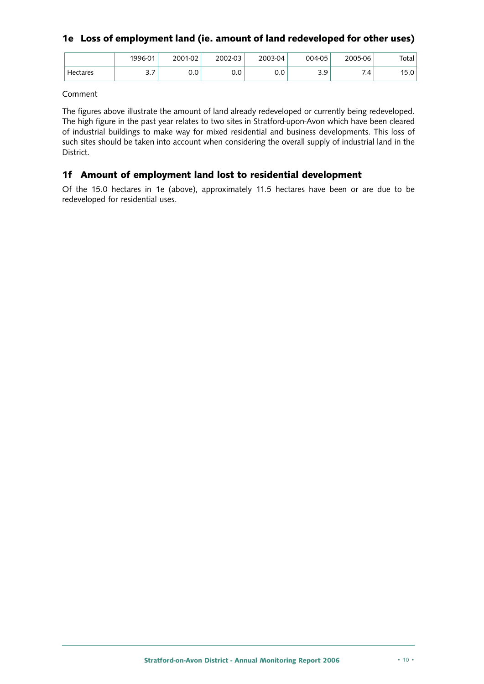# **1e Loss of employment land (ie. amount of land redeveloped for other uses)**

|          | 1996-01  | 2001-02 | 2002-03 | 2003-04 | 004-05     | 2005-06 | Total |
|----------|----------|---------|---------|---------|------------|---------|-------|
| Hectares | -<br>ے ۔ | 0.0     | 0.0     | 0.0     | 3 O<br>ر.ر | 7.4     | 15.0  |

Comment

The figures above illustrate the amount of land already redeveloped or currently being redeveloped. The high figure in the past year relates to two sites in Stratford-upon-Avon which have been cleared of industrial buildings to make way for mixed residential and business developments. This loss of such sites should be taken into account when considering the overall supply of industrial land in the District.

# **1f Amount of employment land lost to residential development**

Of the 15.0 hectares in 1e (above), approximately 11.5 hectares have been or are due to be redeveloped for residential uses.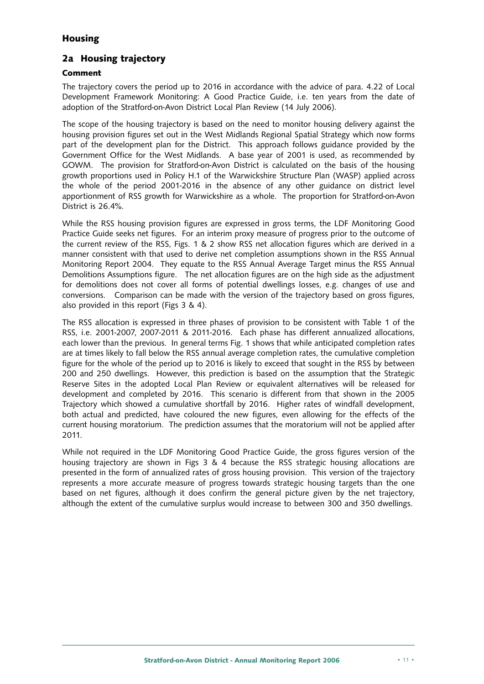# **Housing**

# **2a Housing trajectory**

### **Comment**

The trajectory covers the period up to 2016 in accordance with the advice of para. 4.22 of Local Development Framework Monitoring: A Good Practice Guide, i.e. ten years from the date of adoption of the Stratford-on-Avon District Local Plan Review (14 July 2006).

The scope of the housing trajectory is based on the need to monitor housing delivery against the housing provision figures set out in the West Midlands Regional Spatial Strategy which now forms part of the development plan for the District. This approach follows guidance provided by the Government Office for the West Midlands. A base year of 2001 is used, as recommended by GOWM. The provision for Stratford-on-Avon District is calculated on the basis of the housing growth proportions used in Policy H.1 of the Warwickshire Structure Plan (WASP) applied across the whole of the period 2001-2016 in the absence of any other guidance on district level apportionment of RSS growth for Warwickshire as a whole. The proportion for Stratford-on-Avon District is 26.4%.

While the RSS housing provision figures are expressed in gross terms, the LDF Monitoring Good Practice Guide seeks net figures. For an interim proxy measure of progress prior to the outcome of the current review of the RSS, Figs. 1 & 2 show RSS net allocation figures which are derived in a manner consistent with that used to derive net completion assumptions shown in the RSS Annual Monitoring Report 2004. They equate to the RSS Annual Average Target minus the RSS Annual Demolitions Assumptions figure. The net allocation figures are on the high side as the adjustment for demolitions does not cover all forms of potential dwellings losses, e.g. changes of use and conversions. Comparison can be made with the version of the trajectory based on gross figures, also provided in this report (Figs 3 & 4).

The RSS allocation is expressed in three phases of provision to be consistent with Table 1 of the RSS, i.e. 2001-2007, 2007-2011 & 2011-2016. Each phase has different annualized allocations, each lower than the previous. In general terms Fig. 1 shows that while anticipated completion rates are at times likely to fall below the RSS annual average completion rates, the cumulative completion figure for the whole of the period up to 2016 is likely to exceed that sought in the RSS by between 200 and 250 dwellings. However, this prediction is based on the assumption that the Strategic Reserve Sites in the adopted Local Plan Review or equivalent alternatives will be released for development and completed by 2016. This scenario is different from that shown in the 2005 Trajectory which showed a cumulative shortfall by 2016. Higher rates of windfall development, both actual and predicted, have coloured the new figures, even allowing for the effects of the current housing moratorium. The prediction assumes that the moratorium will not be applied after 2011.

While not required in the LDF Monitoring Good Practice Guide, the gross figures version of the housing trajectory are shown in Figs 3 & 4 because the RSS strategic housing allocations are presented in the form of annualized rates of gross housing provision. This version of the trajectory represents a more accurate measure of progress towards strategic housing targets than the one based on net figures, although it does confirm the general picture given by the net trajectory, although the extent of the cumulative surplus would increase to between 300 and 350 dwellings.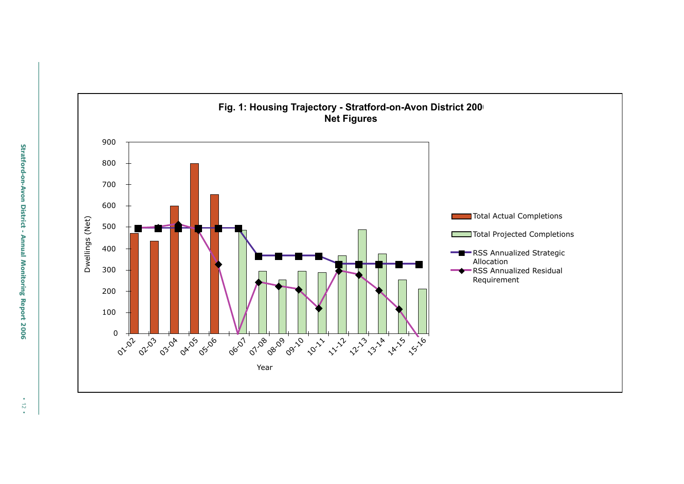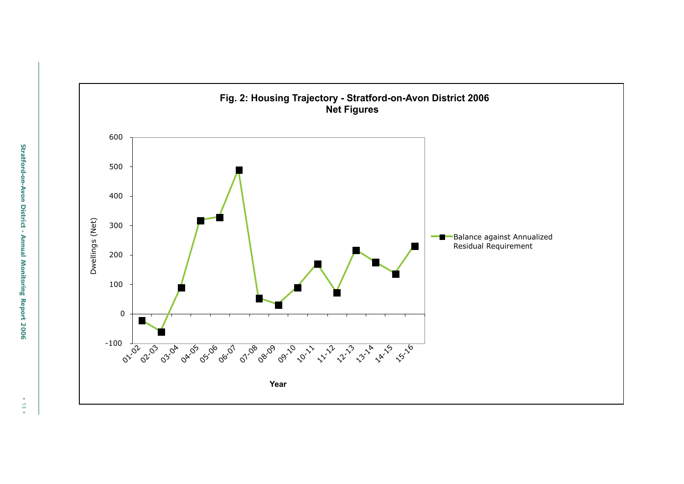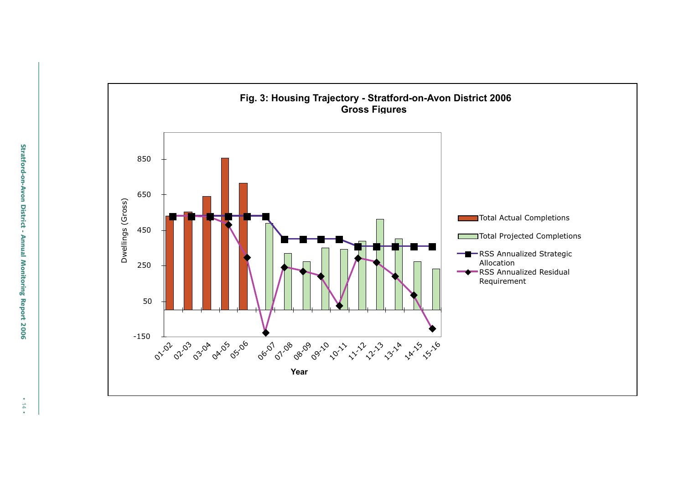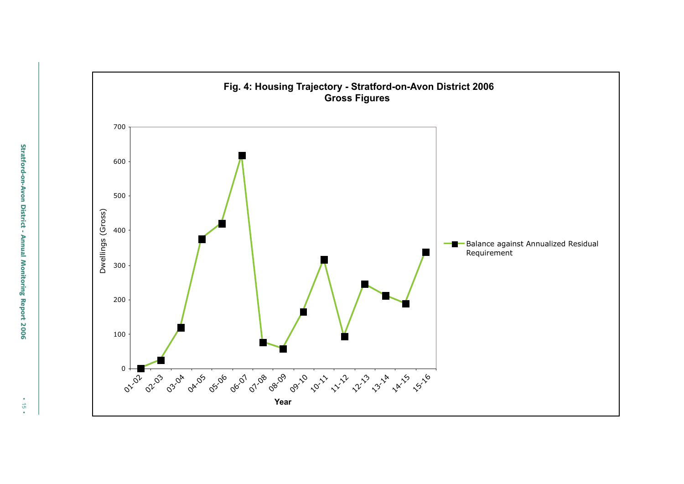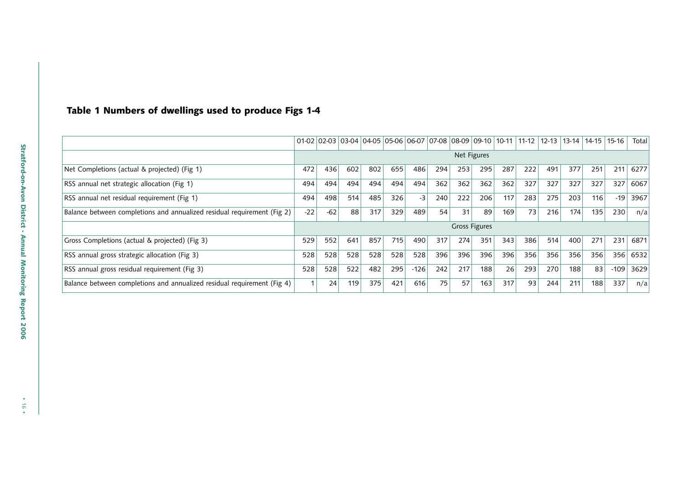#### **Table 1 Numbers of dwellings used to produce Figs 1-4**

|                                                                         |       |       |     |     |     | $01-02$ 02-03 03-04 04-05 05-06 06-07 07-08 08-09 09-10 10-11 |     |                      |     |     | $11 - 12$ | $12 - 13$ | $13-14$ | 14-15 | 15-16  | Total |
|-------------------------------------------------------------------------|-------|-------|-----|-----|-----|---------------------------------------------------------------|-----|----------------------|-----|-----|-----------|-----------|---------|-------|--------|-------|
|                                                                         |       |       |     |     |     |                                                               |     | Net Figures          |     |     |           |           |         |       |        |       |
| Net Completions (actual & projected) (Fig 1)                            | 472   | 436   | 602 | 802 | 655 | 486                                                           | 294 | 253                  | 295 | 287 | 222       | 491       | 377     | 251   | 211    | 6277  |
| RSS annual net strategic allocation (Fig 1)                             | 494   | 494   | 494 | 494 | 494 | 494                                                           | 362 | 362                  | 362 | 362 | 327       | 327       | 327     | 327   | 327    | 6067  |
| RSS annual net residual requirement (Fig 1)                             | 494   | 498   | 514 | 485 | 326 | $-3$                                                          | 240 | 222                  | 206 | 117 | 283       | 275       | 203     | 116   | $-19$  | 3967  |
| Balance between completions and annualized residual requirement (Fig 2) | $-22$ | $-62$ | 88  | 317 | 329 | 489                                                           | 54  | 31                   | 89  | 169 | 73        | 216       | 174     | 135   | 230    | n/a   |
|                                                                         |       |       |     |     |     |                                                               |     | <b>Gross Figures</b> |     |     |           |           |         |       |        |       |
| Gross Completions (actual & projected) (Fig 3)                          | 529   | 552   | 641 | 857 | 715 | 490                                                           | 317 | 274                  | 351 | 343 | 386       | 514       | 400     | 271   | 231    | 6871  |
| RSS annual gross strategic allocation (Fig 3)                           | 528   | 528   | 528 | 528 | 528 | 528                                                           | 396 | 396                  | 396 | 396 | 356       | 356       | 356     | 356   | 356    | 6532  |
| RSS annual gross residual requirement (Fig 3)                           | 528   | 528   | 522 | 482 | 295 | $-126$                                                        | 242 | 217                  | 188 | 26  | 293       | 270       | 188     | 83    | $-109$ | 3629  |
| Balance between completions and annualized residual requirement (Fig 4) |       | 24    | 119 | 375 | 421 | 616                                                           | 75  | 57                   | 163 | 317 | 93        | 244       | 211     | 188   | 337    | n/a   |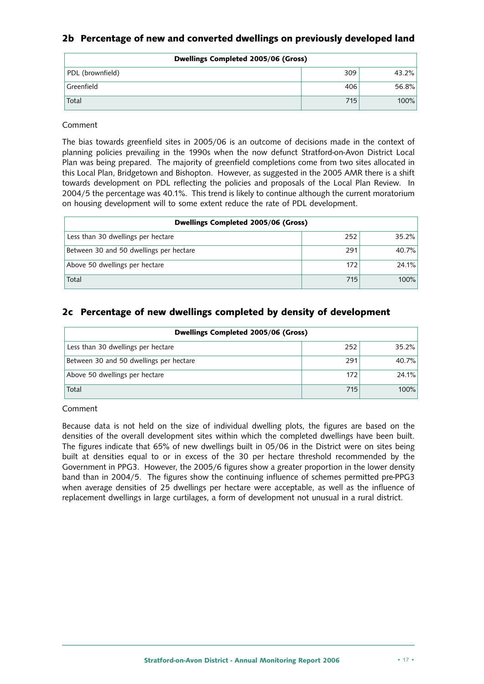# **2b Percentage of new and converted dwellings on previously developed land**

| Dwellings Completed 2005/06 (Gross) |     |       |  |  |  |  |
|-------------------------------------|-----|-------|--|--|--|--|
| PDL (brownfield)                    | 309 | 43.2% |  |  |  |  |
| Greenfield                          | 406 | 56.8% |  |  |  |  |
| Total                               | 715 | 100%  |  |  |  |  |

Comment

The bias towards greenfield sites in 2005/06 is an outcome of decisions made in the context of planning policies prevailing in the 1990s when the now defunct Stratford-on-Avon District Local Plan was being prepared. The majority of greenfield completions come from two sites allocated in this Local Plan, Bridgetown and Bishopton. However, as suggested in the 2005 AMR there is a shift towards development on PDL reflecting the policies and proposals of the Local Plan Review. In 2004/5 the percentage was 40.1%. This trend is likely to continue although the current moratorium on housing development will to some extent reduce the rate of PDL development.

| Dwellings Completed 2005/06 (Gross)     |     |          |  |  |  |  |
|-----------------------------------------|-----|----------|--|--|--|--|
| Less than 30 dwellings per hectare      | 252 | $35.2\%$ |  |  |  |  |
| Between 30 and 50 dwellings per hectare | 291 | 40.7%    |  |  |  |  |
| Above 50 dwellings per hectare          | 172 | 24.1%    |  |  |  |  |
| Total                                   | 715 | 100%     |  |  |  |  |

# **2c Percentage of new dwellings completed by density of development**

| Dwellings Completed 2005/06 (Gross)     |     |       |  |  |
|-----------------------------------------|-----|-------|--|--|
| Less than 30 dwellings per hectare      | 252 | 35.2% |  |  |
| Between 30 and 50 dwellings per hectare | 291 | 40.7% |  |  |
| Above 50 dwellings per hectare          | 172 | 24.1% |  |  |
| Total                                   | 715 | 100%  |  |  |

Comment

Because data is not held on the size of individual dwelling plots, the figures are based on the densities of the overall development sites within which the completed dwellings have been built. The figures indicate that 65% of new dwellings built in 05/06 in the District were on sites being built at densities equal to or in excess of the 30 per hectare threshold recommended by the Government in PPG3. However, the 2005/6 figures show a greater proportion in the lower density band than in 2004/5. The figures show the continuing influence of schemes permitted pre-PPG3 when average densities of 25 dwellings per hectare were acceptable, as well as the influence of replacement dwellings in large curtilages, a form of development not unusual in a rural district.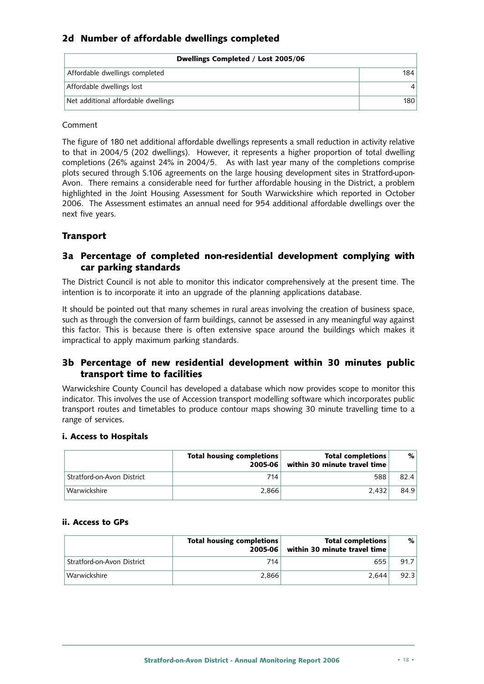# **2d Number of affordable dwellings completed**

| Dwellings Completed / Lost 2005/06  |     |
|-------------------------------------|-----|
| Affordable dwellings completed      | 184 |
| Affordable dwellings lost           |     |
| Net additional affordable dwellings | 180 |

#### Comment

The figure of 180 net additional affordable dwellings represents a small reduction in activity relative to that in 2004/5 (202 dwellings). However, it represents a higher proportion of total dwelling completions (26% against 24% in 2004/5. As with last year many of the completions comprise plots secured through S.106 agreements on the large housing development sites in Stratford-upon-Avon. There remains a considerable need for further affordable housing in the District, a problem highlighted in the Joint Housing Assessment for South Warwickshire which reported in October 2006. The Assessment estimates an annual need for 954 additional affordable dwellings over the next five years.

# **Transport**

# **3a Percentage of completed non-residential development complying with car parking standards**

The District Council is not able to monitor this indicator comprehensively at the present time. The intention is to incorporate it into an upgrade of the planning applications database.

It should be pointed out that many schemes in rural areas involving the creation of business space, such as through the conversion of farm buildings, cannot be assessed in any meaningful way against this factor. This is because there is often extensive space around the buildings which makes it impractical to apply maximum parking standards.

# **3b Percentage of new residential development within 30 minutes public transport time to facilities**

Warwickshire County Council has developed a database which now provides scope to monitor this indicator. This involves the use of Accession transport modelling software which incorporates public transport routes and timetables to produce contour maps showing 30 minute travelling time to a range of services.

#### **i. Access to Hospitals**

|                            | <b>Total housing completions</b><br>2005-06 | <b>Total completions</b><br>within 30 minute travel time | %    |
|----------------------------|---------------------------------------------|----------------------------------------------------------|------|
| Stratford-on-Avon District | 714                                         | 588                                                      | 82.4 |
| Warwickshire               | 2.866                                       | 2.432                                                    | 84.9 |

#### **ii. Access to GPs**

|                            | Total housing completions<br>$2005 - 06$ | <b>Total completions</b><br>within 30 minute travel time | %    |
|----------------------------|------------------------------------------|----------------------------------------------------------|------|
| Stratford-on-Avon District | 714                                      | 655                                                      | 91.7 |
| Warwickshire               | 2.866                                    | 2.644                                                    | 92.3 |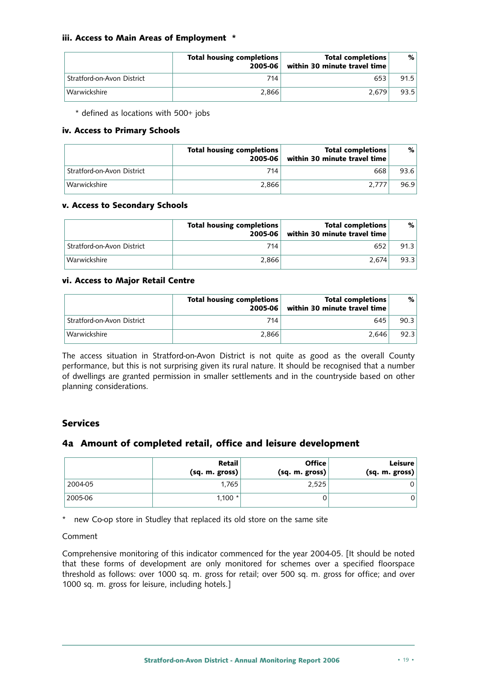#### **iii. Access to Main Areas of Employment \***

|                            | <b>Total housing completions</b><br>$2005 - 06$ | <b>Total completions</b><br>within 30 minute travel time | %    |
|----------------------------|-------------------------------------------------|----------------------------------------------------------|------|
| Stratford-on-Avon District | 714                                             | 653                                                      | 91.5 |
| Warwickshire               | 2.866                                           | 2.679                                                    | 93.5 |

\* defined as locations with 500+ jobs

#### **iv. Access to Primary Schools**

|                            | <b>Total housing completions</b><br>2005-06 | <b>Total completions</b><br>within 30 minute travel time | %    |
|----------------------------|---------------------------------------------|----------------------------------------------------------|------|
| Stratford-on-Avon District | 714                                         | 668                                                      | 93.6 |
| Warwickshire               | 2.866                                       | 2.777                                                    | 96.9 |

#### **v. Access to Secondary Schools**

|                            | Total housing completions<br>$2005 - 06$ | <b>Total completions</b><br>within 30 minute travel time | %    |
|----------------------------|------------------------------------------|----------------------------------------------------------|------|
| Stratford-on-Avon District | 714                                      | 652                                                      | 91.3 |
| Warwickshire               | 2.866                                    | 2.674                                                    | 93.3 |

#### **vi. Access to Major Retail Centre**

|                            | <b>Total housing completions</b><br>$2005 - 06$ | <b>Total completions</b><br>within 30 minute travel time | %    |
|----------------------------|-------------------------------------------------|----------------------------------------------------------|------|
| Stratford-on-Avon District | 714                                             | 645                                                      | 90.3 |
| 'Warwickshire              | 2.866                                           | 2.646                                                    | 92.3 |

The access situation in Stratford-on-Avon District is not quite as good as the overall County performance, but this is not surprising given its rural nature. It should be recognised that a number of dwellings are granted permission in smaller settlements and in the countryside based on other planning considerations.

# **Services**

### **4a Amount of completed retail, office and leisure development**

|         | Retail<br>(sq. m. gross) | <b>Office</b><br>(sq. m. gross) | <b>Leisure</b><br>(sq. m. gross) |
|---------|--------------------------|---------------------------------|----------------------------------|
| 2004-05 | 1.765                    | 2.525                           |                                  |
| 2005-06 | 1.100 $*$                |                                 | 0                                |

\* new Co-op store in Studley that replaced its old store on the same site

#### Comment

Comprehensive monitoring of this indicator commenced for the year 2004-05. [It should be noted that these forms of development are only monitored for schemes over a specified floorspace threshold as follows: over 1000 sq. m. gross for retail; over 500 sq. m. gross for office; and over 1000 sq. m. gross for leisure, including hotels.]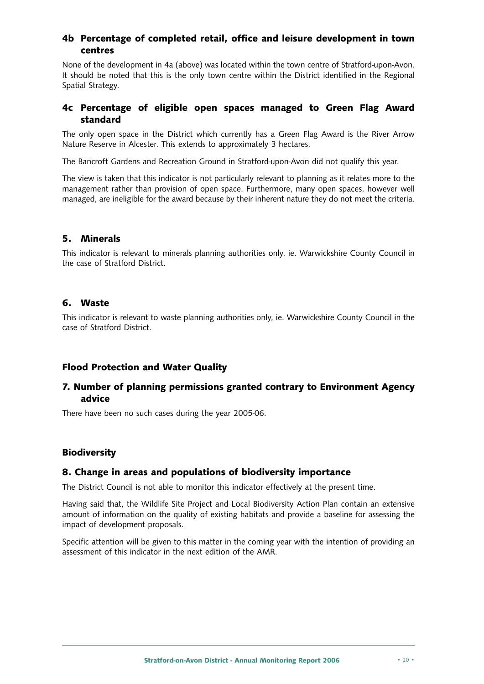# **4b Percentage of completed retail, office and leisure development in town centres**

None of the development in 4a (above) was located within the town centre of Stratford-upon-Avon. It should be noted that this is the only town centre within the District identified in the Regional Spatial Strategy.

### **4c Percentage of eligible open spaces managed to Green Flag Award standard**

The only open space in the District which currently has a Green Flag Award is the River Arrow Nature Reserve in Alcester. This extends to approximately 3 hectares.

The Bancroft Gardens and Recreation Ground in Stratford-upon-Avon did not qualify this year.

The view is taken that this indicator is not particularly relevant to planning as it relates more to the management rather than provision of open space. Furthermore, many open spaces, however well managed, are ineligible for the award because by their inherent nature they do not meet the criteria.

#### **5. Minerals**

This indicator is relevant to minerals planning authorities only, ie. Warwickshire County Council in the case of Stratford District.

#### **6. Waste**

This indicator is relevant to waste planning authorities only, ie. Warwickshire County Council in the case of Stratford District.

### **Flood Protection and Water Quality**

# **7. Number of planning permissions granted contrary to Environment Agency advice**

There have been no such cases during the year 2005-06.

### **Biodiversity**

#### **8. Change in areas and populations of biodiversity importance**

The District Council is not able to monitor this indicator effectively at the present time.

Having said that, the Wildlife Site Project and Local Biodiversity Action Plan contain an extensive amount of information on the quality of existing habitats and provide a baseline for assessing the impact of development proposals.

Specific attention will be given to this matter in the coming year with the intention of providing an assessment of this indicator in the next edition of the AMR.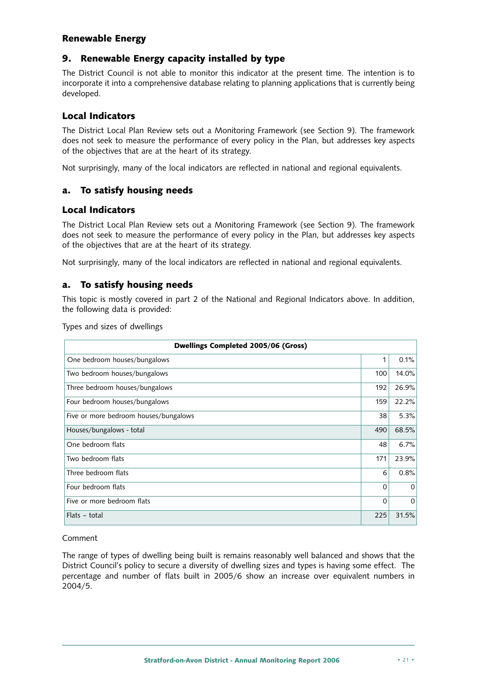#### **Renewable Energy**

#### **9. Renewable Energy capacity installed by type**

The District Council is not able to monitor this indicator at the present time. The intention is to incorporate it into a comprehensive database relating to planning applications that is currently being developed.

### **Local Indicators**

The District Local Plan Review sets out a Monitoring Framework (see Section 9). The framework does not seek to measure the performance of every policy in the Plan, but addresses key aspects of the objectives that are at the heart of its strategy.

Not surprisingly, many of the local indicators are reflected in national and regional equivalents.

### **a. To satisfy housing needs**

### **Local Indicators**

The District Local Plan Review sets out a Monitoring Framework (see Section 9). The framework does not seek to measure the performance of every policy in the Plan, but addresses key aspects of the objectives that are at the heart of its strategy.

Not surprisingly, many of the local indicators are reflected in national and regional equivalents.

#### **a. To satisfy housing needs**

This topic is mostly covered in part 2 of the National and Regional Indicators above. In addition, the following data is provided:

Types and sizes of dwellings

| Dwellings Completed 2005/06 (Gross)   |          |          |
|---------------------------------------|----------|----------|
| One bedroom houses/bungalows          | 1        | 0.1%     |
| Two bedroom houses/bungalows          | 100      | 14.0%    |
| Three bedroom houses/bungalows        | 192      | 26.9%    |
| Four bedroom houses/bungalows         | 159      | 22.2%    |
| Five or more bedroom houses/bungalows | 38       | 5.3%     |
| Houses/bungalows - total              | 490      | 68.5%    |
| One bedroom flats                     | 48       | 6.7%     |
| Two bedroom flats                     | 171      | 23.9%    |
| Three bedroom flats                   | 6        | 0.8%     |
| Four bedroom flats                    | $\Omega$ | $\Omega$ |
| Five or more bedroom flats            | $\Omega$ | $\Omega$ |
| Flats - total                         | 225      | 31.5%    |

#### Comment

The range of types of dwelling being built is remains reasonably well balanced and shows that the District Council's policy to secure a diversity of dwelling sizes and types is having some effect. The percentage and number of flats built in 2005/6 show an increase over equivalent numbers in 2004/5.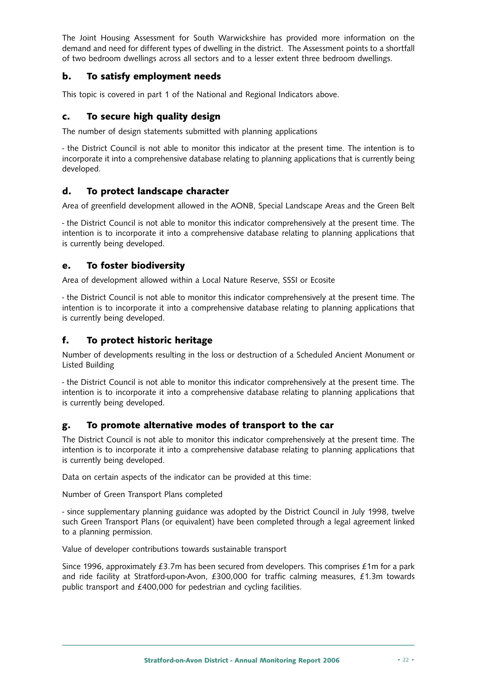The Joint Housing Assessment for South Warwickshire has provided more information on the demand and need for different types of dwelling in the district. The Assessment points to a shortfall of two bedroom dwellings across all sectors and to a lesser extent three bedroom dwellings.

# **b. To satisfy employment needs**

This topic is covered in part 1 of the National and Regional Indicators above.

# **c. To secure high quality design**

The number of design statements submitted with planning applications

- the District Council is not able to monitor this indicator at the present time. The intention is to incorporate it into a comprehensive database relating to planning applications that is currently being developed.

# **d. To protect landscape character**

Area of greenfield development allowed in the AONB, Special Landscape Areas and the Green Belt

- the District Council is not able to monitor this indicator comprehensively at the present time. The intention is to incorporate it into a comprehensive database relating to planning applications that is currently being developed.

# **e. To foster biodiversity**

Area of development allowed within a Local Nature Reserve, SSSI or Ecosite

- the District Council is not able to monitor this indicator comprehensively at the present time. The intention is to incorporate it into a comprehensive database relating to planning applications that is currently being developed.

# **f. To protect historic heritage**

Number of developments resulting in the loss or destruction of a Scheduled Ancient Monument or Listed Building

- the District Council is not able to monitor this indicator comprehensively at the present time. The intention is to incorporate it into a comprehensive database relating to planning applications that is currently being developed.

### **g. To promote alternative modes of transport to the car**

The District Council is not able to monitor this indicator comprehensively at the present time. The intention is to incorporate it into a comprehensive database relating to planning applications that is currently being developed.

Data on certain aspects of the indicator can be provided at this time:

Number of Green Transport Plans completed

- since supplementary planning guidance was adopted by the District Council in July 1998, twelve such Green Transport Plans (or equivalent) have been completed through a legal agreement linked to a planning permission.

Value of developer contributions towards sustainable transport

Since 1996, approximately £3.7m has been secured from developers. This comprises £1m for a park and ride facility at Stratford-upon-Avon, £300,000 for traffic calming measures, £1.3m towards public transport and £400,000 for pedestrian and cycling facilities.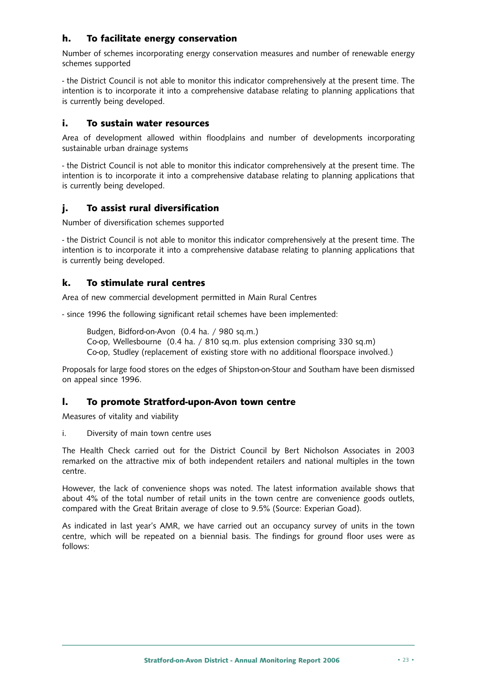# **h. To facilitate energy conservation**

Number of schemes incorporating energy conservation measures and number of renewable energy schemes supported

- the District Council is not able to monitor this indicator comprehensively at the present time. The intention is to incorporate it into a comprehensive database relating to planning applications that is currently being developed.

### **i. To sustain water resources**

Area of development allowed within floodplains and number of developments incorporating sustainable urban drainage systems

- the District Council is not able to monitor this indicator comprehensively at the present time. The intention is to incorporate it into a comprehensive database relating to planning applications that is currently being developed.

# **j. To assist rural diversification**

Number of diversification schemes supported

- the District Council is not able to monitor this indicator comprehensively at the present time. The intention is to incorporate it into a comprehensive database relating to planning applications that is currently being developed.

# **k. To stimulate rural centres**

Area of new commercial development permitted in Main Rural Centres

- since 1996 the following significant retail schemes have been implemented:

Budgen, Bidford-on-Avon (0.4 ha. / 980 sq.m.) Co-op, Wellesbourne (0.4 ha. / 810 sq.m. plus extension comprising 330 sq.m) Co-op, Studley (replacement of existing store with no additional floorspace involved.)

Proposals for large food stores on the edges of Shipston-on-Stour and Southam have been dismissed on appeal since 1996.

### **l. To promote Stratford-upon-Avon town centre**

Measures of vitality and viability

i. Diversity of main town centre uses

The Health Check carried out for the District Council by Bert Nicholson Associates in 2003 remarked on the attractive mix of both independent retailers and national multiples in the town centre.

However, the lack of convenience shops was noted. The latest information available shows that about 4% of the total number of retail units in the town centre are convenience goods outlets, compared with the Great Britain average of close to 9.5% (Source: Experian Goad).

As indicated in last year's AMR, we have carried out an occupancy survey of units in the town centre, which will be repeated on a biennial basis. The findings for ground floor uses were as follows: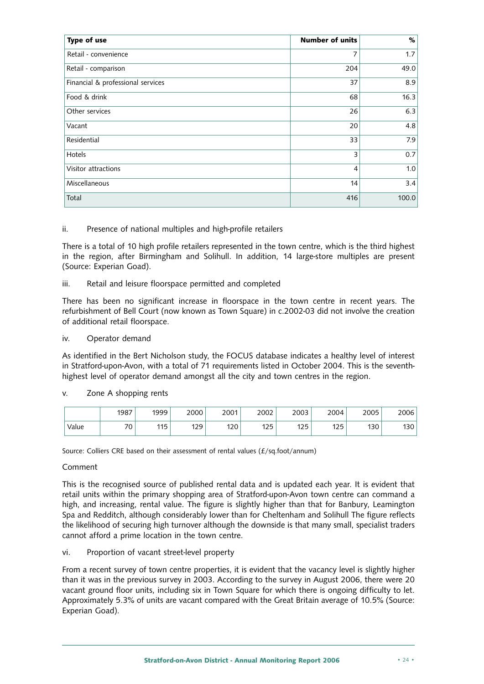| Type of use                       | <b>Number of units</b> | $\%$  |
|-----------------------------------|------------------------|-------|
| Retail - convenience              | 7                      | 1.7   |
| Retail - comparison               | 204                    | 49.0  |
| Financial & professional services | 37                     | 8.9   |
| Food & drink                      | 68                     | 16.3  |
| Other services                    | 26                     | 6.3   |
| Vacant                            | 20                     | 4.8   |
| Residential                       | 33                     | 7.9   |
| Hotels                            | 3                      | 0.7   |
| Visitor attractions               | 4                      | 1.0   |
| Miscellaneous                     | 14                     | 3.4   |
| Total                             | 416                    | 100.0 |

#### ii. Presence of national multiples and high-profile retailers

There is a total of 10 high profile retailers represented in the town centre, which is the third highest in the region, after Birmingham and Solihull. In addition, 14 large-store multiples are present (Source: Experian Goad).

#### iii. Retail and leisure floorspace permitted and completed

There has been no significant increase in floorspace in the town centre in recent years. The refurbishment of Bell Court (now known as Town Square) in c.2002-03 did not involve the creation of additional retail floorspace.

#### iv. Operator demand

As identified in the Bert Nicholson study, the FOCUS database indicates a healthy level of interest in Stratford-upon-Avon, with a total of 71 requirements listed in October 2004. This is the seventhhighest level of operator demand amongst all the city and town centres in the region.

#### v. Zone A shopping rents

|       | 1987                          | 1999 | 2000       | 2001 | 2002     | 2003     | 2004        | 2005 | 2006 |
|-------|-------------------------------|------|------------|------|----------|----------|-------------|------|------|
| Value | $\overline{\phantom{a}}$<br>υ | 115  | 17Q<br>رے، | 120  | 1つら<br>ᇈ | 1つに<br>ᇈ | 175<br>رے ا | 130  | 130  |

Source: Colliers CRE based on their assessment of rental values (£/sq.foot/annum)

#### Comment

This is the recognised source of published rental data and is updated each year. It is evident that retail units within the primary shopping area of Stratford-upon-Avon town centre can command a high, and increasing, rental value. The figure is slightly higher than that for Banbury, Leamington Spa and Redditch, although considerably lower than for Cheltenham and Solihull The figure reflects the likelihood of securing high turnover although the downside is that many small, specialist traders cannot afford a prime location in the town centre.

#### vi. Proportion of vacant street-level property

From a recent survey of town centre properties, it is evident that the vacancy level is slightly higher than it was in the previous survey in 2003. According to the survey in August 2006, there were 20 vacant ground floor units, including six in Town Square for which there is ongoing difficulty to let. Approximately 5.3% of units are vacant compared with the Great Britain average of 10.5% (Source: Experian Goad).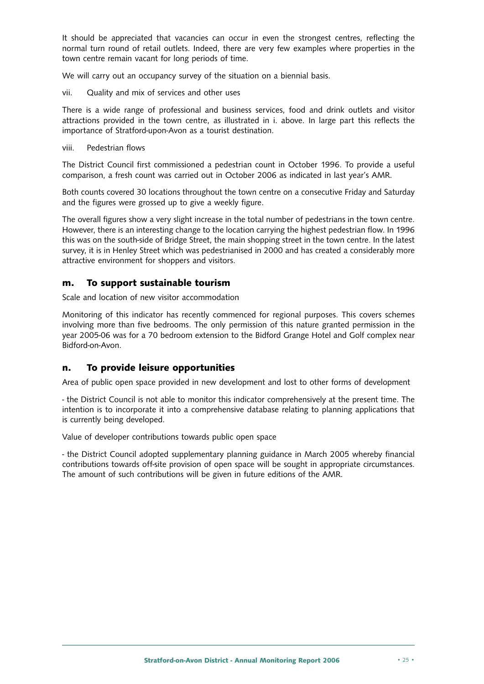It should be appreciated that vacancies can occur in even the strongest centres, reflecting the normal turn round of retail outlets. Indeed, there are very few examples where properties in the town centre remain vacant for long periods of time.

We will carry out an occupancy survey of the situation on a biennial basis.

vii. Quality and mix of services and other uses

There is a wide range of professional and business services, food and drink outlets and visitor attractions provided in the town centre, as illustrated in i. above. In large part this reflects the importance of Stratford-upon-Avon as a tourist destination.

viii. Pedestrian flows

The District Council first commissioned a pedestrian count in October 1996. To provide a useful comparison, a fresh count was carried out in October 2006 as indicated in last year's AMR.

Both counts covered 30 locations throughout the town centre on a consecutive Friday and Saturday and the figures were grossed up to give a weekly figure.

The overall figures show a very slight increase in the total number of pedestrians in the town centre. However, there is an interesting change to the location carrying the highest pedestrian flow. In 1996 this was on the south-side of Bridge Street, the main shopping street in the town centre. In the latest survey, it is in Henley Street which was pedestrianised in 2000 and has created a considerably more attractive environment for shoppers and visitors.

### **m. To support sustainable tourism**

Scale and location of new visitor accommodation

Monitoring of this indicator has recently commenced for regional purposes. This covers schemes involving more than five bedrooms. The only permission of this nature granted permission in the year 2005-06 was for a 70 bedroom extension to the Bidford Grange Hotel and Golf complex near Bidford-on-Avon.

### **n. To provide leisure opportunities**

Area of public open space provided in new development and lost to other forms of development

- the District Council is not able to monitor this indicator comprehensively at the present time. The intention is to incorporate it into a comprehensive database relating to planning applications that is currently being developed.

Value of developer contributions towards public open space

- the District Council adopted supplementary planning guidance in March 2005 whereby financial contributions towards off-site provision of open space will be sought in appropriate circumstances. The amount of such contributions will be given in future editions of the AMR.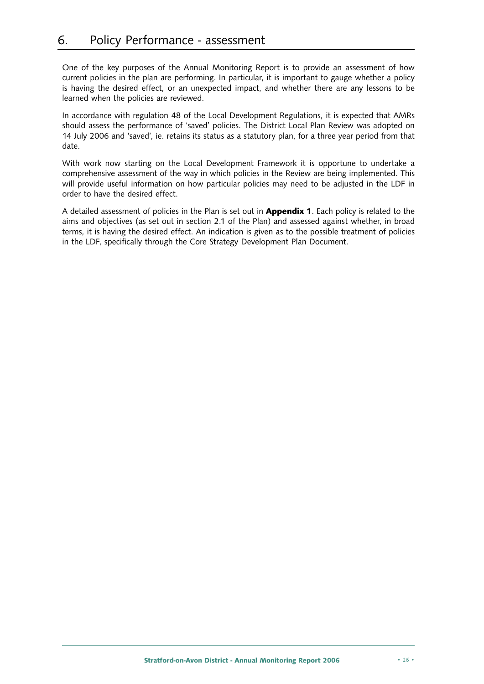One of the key purposes of the Annual Monitoring Report is to provide an assessment of how current policies in the plan are performing. In particular, it is important to gauge whether a policy is having the desired effect, or an unexpected impact, and whether there are any lessons to be learned when the policies are reviewed.

In accordance with regulation 48 of the Local Development Regulations, it is expected that AMRs should assess the performance of 'saved' policies. The District Local Plan Review was adopted on 14 July 2006 and 'saved', ie. retains its status as a statutory plan, for a three year period from that date.

With work now starting on the Local Development Framework it is opportune to undertake a comprehensive assessment of the way in which policies in the Review are being implemented. This will provide useful information on how particular policies may need to be adjusted in the LDF in order to have the desired effect.

A detailed assessment of policies in the Plan is set out in **Appendix 1**. Each policy is related to the aims and objectives (as set out in section 2.1 of the Plan) and assessed against whether, in broad terms, it is having the desired effect. An indication is given as to the possible treatment of policies in the LDF, specifically through the Core Strategy Development Plan Document.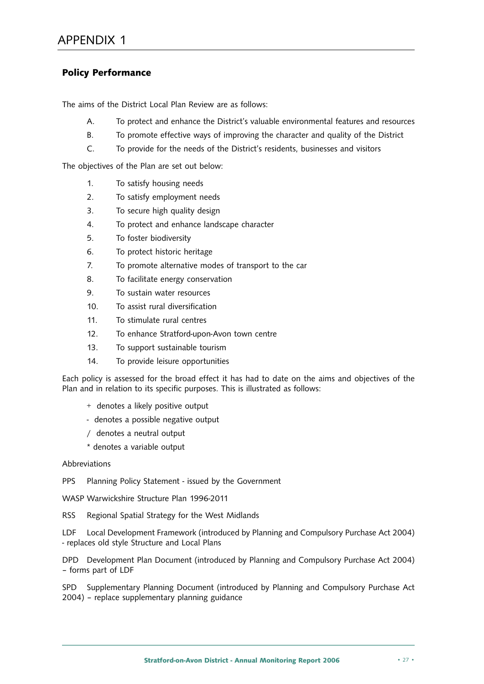# **Policy Performance**

The aims of the District Local Plan Review are as follows:

- A. To protect and enhance the District's valuable environmental features and resources
- B. To promote effective ways of improving the character and quality of the District
- C. To provide for the needs of the District's residents, businesses and visitors

The objectives of the Plan are set out below:

- 1. To satisfy housing needs
- 2. To satisfy employment needs
- 3. To secure high quality design
- 4. To protect and enhance landscape character
- 5. To foster biodiversity
- 6. To protect historic heritage
- 7. To promote alternative modes of transport to the car
- 8. To facilitate energy conservation
- 9. To sustain water resources
- 10. To assist rural diversification
- 11. To stimulate rural centres
- 12. To enhance Stratford-upon-Avon town centre
- 13. To support sustainable tourism
- 14. To provide leisure opportunities

Each policy is assessed for the broad effect it has had to date on the aims and objectives of the Plan and in relation to its specific purposes. This is illustrated as follows:

- + denotes a likely positive output
- denotes a possible negative output
- / denotes a neutral output
- \* denotes a variable output

#### Abbreviations

- PPS Planning Policy Statement issued by the Government
- WASP Warwickshire Structure Plan 1996-2011
- RSS Regional Spatial Strategy for the West Midlands

LDF Local Development Framework (introduced by Planning and Compulsory Purchase Act 2004) - replaces old style Structure and Local Plans

DPD Development Plan Document (introduced by Planning and Compulsory Purchase Act 2004) – forms part of LDF

SPD Supplementary Planning Document (introduced by Planning and Compulsory Purchase Act 2004) – replace supplementary planning guidance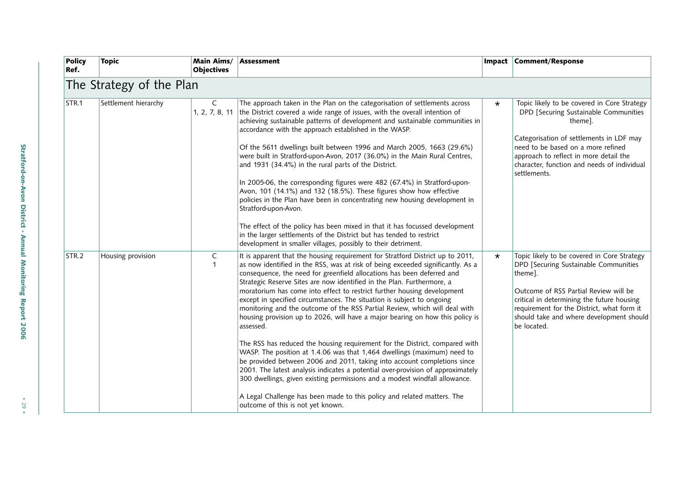| <b>Policy</b><br>Ref. | <b>Topic</b>             | Main Aims/<br><b>Objectives</b> | <b>Assessment</b>                                                                                                                                                                                                                                                                                                                                                                                                                                                                                                                                                                                                                                                                                                                                                                                                                                                                                                                                                                                                                                                                                                                                                             | Impact  | <b>Comment/Response</b>                                                                                                                                                                                                                                                                         |  |  |  |  |  |
|-----------------------|--------------------------|---------------------------------|-------------------------------------------------------------------------------------------------------------------------------------------------------------------------------------------------------------------------------------------------------------------------------------------------------------------------------------------------------------------------------------------------------------------------------------------------------------------------------------------------------------------------------------------------------------------------------------------------------------------------------------------------------------------------------------------------------------------------------------------------------------------------------------------------------------------------------------------------------------------------------------------------------------------------------------------------------------------------------------------------------------------------------------------------------------------------------------------------------------------------------------------------------------------------------|---------|-------------------------------------------------------------------------------------------------------------------------------------------------------------------------------------------------------------------------------------------------------------------------------------------------|--|--|--|--|--|
|                       | The Strategy of the Plan |                                 |                                                                                                                                                                                                                                                                                                                                                                                                                                                                                                                                                                                                                                                                                                                                                                                                                                                                                                                                                                                                                                                                                                                                                                               |         |                                                                                                                                                                                                                                                                                                 |  |  |  |  |  |
| STR.1                 | Settlement hierarchy     | C<br>1, 2, 7, 8, 11             | The approach taken in the Plan on the categorisation of settlements across<br>the District covered a wide range of issues, with the overall intention of<br>achieving sustainable patterns of development and sustainable communities in<br>accordance with the approach established in the WASP.<br>Of the 5611 dwellings built between 1996 and March 2005, 1663 (29.6%)<br>were built in Stratford-upon-Avon, 2017 (36.0%) in the Main Rural Centres,<br>and 1931 (34.4%) in the rural parts of the District.<br>In 2005-06, the corresponding figures were 482 (67.4%) in Stratford-upon-<br>Avon, 101 (14.1%) and 132 (18.5%). These figures show how effective<br>policies in the Plan have been in concentrating new housing development in<br>Stratford-upon-Avon.<br>The effect of the policy has been mixed in that it has focussed development<br>in the larger settlements of the District but has tended to restrict<br>development in smaller villages, possibly to their detriment.                                                                                                                                                                            | $\star$ | Topic likely to be covered in Core Strategy<br>DPD [Securing Sustainable Communities<br>theme].<br>Categorisation of settlements in LDF may<br>need to be based on a more refined<br>approach to reflect in more detail the<br>character, function and needs of individual<br>settlements.      |  |  |  |  |  |
| STR.2                 | Housing provision        | $\mathsf C$<br>$\mathbf{1}$     | It is apparent that the housing requirement for Stratford District up to 2011,<br>as now identified in the RSS, was at risk of being exceeded significantly. As a<br>consequence, the need for greenfield allocations has been deferred and<br>Strategic Reserve Sites are now identified in the Plan. Furthermore, a<br>moratorium has come into effect to restrict further housing development<br>except in specified circumstances. The situation is subject to ongoing<br>monitoring and the outcome of the RSS Partial Review, which will deal with<br>housing provision up to 2026, will have a major bearing on how this policy is<br>assessed.<br>The RSS has reduced the housing requirement for the District, compared with<br>WASP. The position at 1.4.06 was that 1,464 dwellings (maximum) need to<br>be provided between 2006 and 2011, taking into account completions since<br>2001. The latest analysis indicates a potential over-provision of approximately<br>300 dwellings, given existing permissions and a modest windfall allowance.<br>A Legal Challenge has been made to this policy and related matters. The<br>outcome of this is not yet known. | $\star$ | Topic likely to be covered in Core Strategy<br>DPD [Securing Sustainable Communities<br>theme].<br>Outcome of RSS Partial Review will be<br>critical in determining the future housing<br>requirement for the District, what form it<br>should take and where development should<br>be located. |  |  |  |  |  |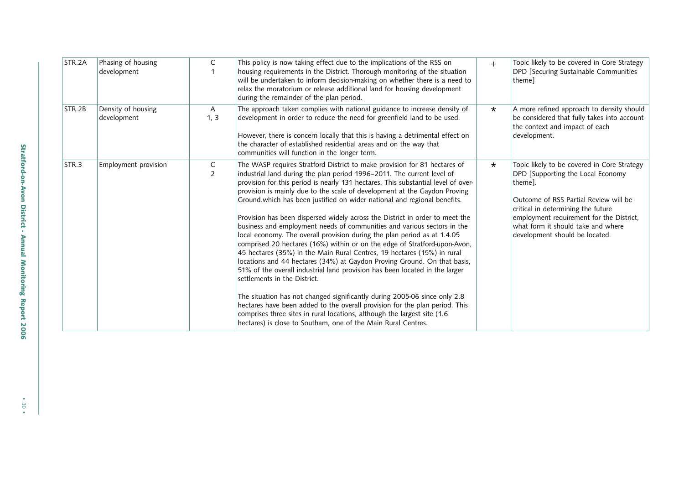| STR.2A | Phasing of housing<br>development | C                    | This policy is now taking effect due to the implications of the RSS on<br>housing requirements in the District. Thorough monitoring of the situation<br>will be undertaken to inform decision-making on whether there is a need to<br>relax the moratorium or release additional land for housing development<br>during the remainder of the plan period.                                                                                                                                                                                                                                                                                                                                                                                                                                                                                                                                                                                                                                                                                                                                                                                                                                                                                                                                            | $+$     | Topic likely to be covered in Core Strategy<br>DPD [Securing Sustainable Communities<br>theme]                                                                                                                                                                                                 |
|--------|-----------------------------------|----------------------|------------------------------------------------------------------------------------------------------------------------------------------------------------------------------------------------------------------------------------------------------------------------------------------------------------------------------------------------------------------------------------------------------------------------------------------------------------------------------------------------------------------------------------------------------------------------------------------------------------------------------------------------------------------------------------------------------------------------------------------------------------------------------------------------------------------------------------------------------------------------------------------------------------------------------------------------------------------------------------------------------------------------------------------------------------------------------------------------------------------------------------------------------------------------------------------------------------------------------------------------------------------------------------------------------|---------|------------------------------------------------------------------------------------------------------------------------------------------------------------------------------------------------------------------------------------------------------------------------------------------------|
| STR.2B | Density of housing<br>development | $\mathsf{A}$<br>1, 3 | The approach taken complies with national guidance to increase density of<br>development in order to reduce the need for greenfield land to be used.<br>However, there is concern locally that this is having a detrimental effect on<br>the character of established residential areas and on the way that<br>communities will function in the longer term.                                                                                                                                                                                                                                                                                                                                                                                                                                                                                                                                                                                                                                                                                                                                                                                                                                                                                                                                         | $\star$ | A more refined approach to density should<br>be considered that fully takes into account<br>the context and impact of each<br>development.                                                                                                                                                     |
| STR.3  | Employment provision              | C<br>$\overline{2}$  | The WASP requires Stratford District to make provision for 81 hectares of<br>industrial land during the plan period 1996-2011. The current level of<br>provision for this period is nearly 131 hectares. This substantial level of over-<br>provision is mainly due to the scale of development at the Gaydon Proving<br>Ground which has been justified on wider national and regional benefits.<br>Provision has been dispersed widely across the District in order to meet the<br>business and employment needs of communities and various sectors in the<br>local economy. The overall provision during the plan period as at 1.4.05<br>comprised 20 hectares (16%) within or on the edge of Stratford-upon-Avon,<br>45 hectares (35%) in the Main Rural Centres, 19 hectares (15%) in rural<br>locations and 44 hectares (34%) at Gaydon Proving Ground. On that basis,<br>51% of the overall industrial land provision has been located in the larger<br>settlements in the District.<br>The situation has not changed significantly during 2005-06 since only 2.8<br>hectares have been added to the overall provision for the plan period. This<br>comprises three sites in rural locations, although the largest site (1.6<br>hectares) is close to Southam, one of the Main Rural Centres. | $\star$ | Topic likely to be covered in Core Strategy<br>DPD [Supporting the Local Economy<br>theme].<br>Outcome of RSS Partial Review will be<br>critical in determining the future<br>employment requirement for the District,<br>what form it should take and where<br>development should be located. |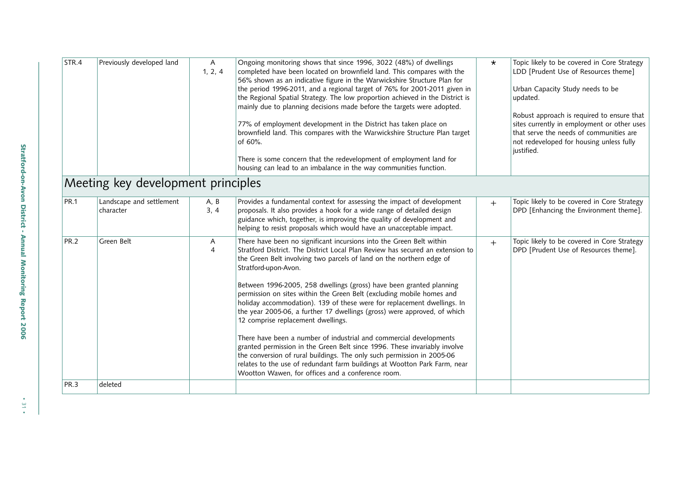| STR.4       | Previously developed land             | $\mathsf{A}$<br>1, 2, 4 | Ongoing monitoring shows that since 1996, 3022 (48%) of dwellings<br>completed have been located on brownfield land. This compares with the<br>56% shown as an indicative figure in the Warwickshire Structure Plan for<br>the period 1996-2011, and a regional target of 76% for 2001-2011 given in<br>the Regional Spatial Strategy. The low proportion achieved in the District is<br>mainly due to planning decisions made before the targets were adopted.<br>77% of employment development in the District has taken place on<br>brownfield land. This compares with the Warwickshire Structure Plan target<br>of 60%.<br>There is some concern that the redevelopment of employment land for<br>housing can lead to an imbalance in the way communities function.                                                                                                                                                                                           | $\star$ | Topic likely to be covered in Core Strategy<br>LDD [Prudent Use of Resources theme]<br>Urban Capacity Study needs to be<br>updated.<br>Robust approach is required to ensure that<br>sites currently in employment or other uses<br>that serve the needs of communities are<br>not redeveloped for housing unless fully<br>justified. |
|-------------|---------------------------------------|-------------------------|--------------------------------------------------------------------------------------------------------------------------------------------------------------------------------------------------------------------------------------------------------------------------------------------------------------------------------------------------------------------------------------------------------------------------------------------------------------------------------------------------------------------------------------------------------------------------------------------------------------------------------------------------------------------------------------------------------------------------------------------------------------------------------------------------------------------------------------------------------------------------------------------------------------------------------------------------------------------|---------|---------------------------------------------------------------------------------------------------------------------------------------------------------------------------------------------------------------------------------------------------------------------------------------------------------------------------------------|
|             | Meeting key development principles    |                         |                                                                                                                                                                                                                                                                                                                                                                                                                                                                                                                                                                                                                                                                                                                                                                                                                                                                                                                                                                    |         |                                                                                                                                                                                                                                                                                                                                       |
| <b>PR.1</b> | Landscape and settlement<br>character | A, B<br>3, 4            | Provides a fundamental context for assessing the impact of development<br>proposals. It also provides a hook for a wide range of detailed design<br>guidance which, together, is improving the quality of development and<br>helping to resist proposals which would have an unacceptable impact.                                                                                                                                                                                                                                                                                                                                                                                                                                                                                                                                                                                                                                                                  | $+$     | Topic likely to be covered in Core Strategy<br>DPD [Enhancing the Environment theme].                                                                                                                                                                                                                                                 |
| <b>PR.2</b> | Green Belt                            | A<br>$\overline{4}$     | There have been no significant incursions into the Green Belt within<br>Stratford District. The District Local Plan Review has secured an extension to<br>the Green Belt involving two parcels of land on the northern edge of<br>Stratford-upon-Avon.<br>Between 1996-2005, 258 dwellings (gross) have been granted planning<br>permission on sites within the Green Belt (excluding mobile homes and<br>holiday accommodation). 139 of these were for replacement dwellings. In<br>the year 2005-06, a further 17 dwellings (gross) were approved, of which<br>12 comprise replacement dwellings.<br>There have been a number of industrial and commercial developments<br>granted permission in the Green Belt since 1996. These invariably involve<br>the conversion of rural buildings. The only such permission in 2005-06<br>relates to the use of redundant farm buildings at Wootton Park Farm, near<br>Wootton Wawen, for offices and a conference room. | $+$     | Topic likely to be covered in Core Strategy<br>DPD [Prudent Use of Resources theme].                                                                                                                                                                                                                                                  |
| <b>PR.3</b> | deleted                               |                         |                                                                                                                                                                                                                                                                                                                                                                                                                                                                                                                                                                                                                                                                                                                                                                                                                                                                                                                                                                    |         |                                                                                                                                                                                                                                                                                                                                       |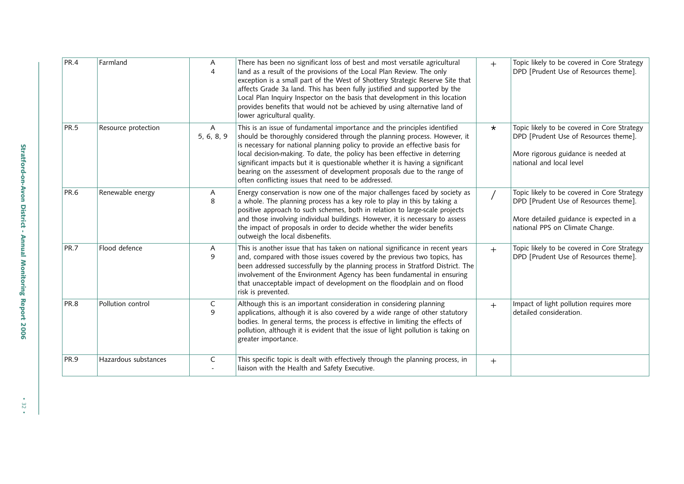| PR.4        | Farmland             | A<br>$\overline{4}$          | There has been no significant loss of best and most versatile agricultural<br>land as a result of the provisions of the Local Plan Review. The only<br>exception is a small part of the West of Shottery Strategic Reserve Site that<br>affects Grade 3a land. This has been fully justified and supported by the<br>Local Plan Inquiry Inspector on the basis that development in this location<br>provides benefits that would not be achieved by using alternative land of<br>lower agricultural quality.                         | $+$     | Topic likely to be covered in Core Strategy<br>DPD [Prudent Use of Resources theme].                                                                               |
|-------------|----------------------|------------------------------|--------------------------------------------------------------------------------------------------------------------------------------------------------------------------------------------------------------------------------------------------------------------------------------------------------------------------------------------------------------------------------------------------------------------------------------------------------------------------------------------------------------------------------------|---------|--------------------------------------------------------------------------------------------------------------------------------------------------------------------|
| <b>PR.5</b> | Resource protection  | $\overline{A}$<br>5, 6, 8, 9 | This is an issue of fundamental importance and the principles identified<br>should be thoroughly considered through the planning process. However, it<br>is necessary for national planning policy to provide an effective basis for<br>local decision-making. To date, the policy has been effective in deterring<br>significant impacts but it is questionable whether it is having a significant<br>bearing on the assessment of development proposals due to the range of<br>often conflicting issues that need to be addressed. | $\star$ | Topic likely to be covered in Core Strategy<br>DPD [Prudent Use of Resources theme].<br>More rigorous guidance is needed at<br>national and local level            |
| <b>PR.6</b> | Renewable energy     | A<br>8                       | Energy conservation is now one of the major challenges faced by society as<br>a whole. The planning process has a key role to play in this by taking a<br>positive approach to such schemes, both in relation to large-scale projects<br>and those involving individual buildings. However, it is necessary to assess<br>the impact of proposals in order to decide whether the wider benefits<br>outweigh the local disbenefits.                                                                                                    |         | Topic likely to be covered in Core Strategy<br>DPD [Prudent Use of Resources theme].<br>More detailed guidance is expected in a<br>national PPS on Climate Change. |
| PR.7        | Flood defence        | A<br>9                       | This is another issue that has taken on national significance in recent years<br>and, compared with those issues covered by the previous two topics, has<br>been addressed successfully by the planning process in Stratford District. The<br>involvement of the Environment Agency has been fundamental in ensuring<br>that unacceptable impact of development on the floodplain and on flood<br>risk is prevented.                                                                                                                 | $+$     | Topic likely to be covered in Core Strategy<br>DPD [Prudent Use of Resources theme].                                                                               |
| PR.8        | Pollution control    | $\mathsf{C}$<br>9            | Although this is an important consideration in considering planning<br>applications, although it is also covered by a wide range of other statutory<br>bodies. In general terms, the process is effective in limiting the effects of<br>pollution, although it is evident that the issue of light pollution is taking on<br>greater importance.                                                                                                                                                                                      | $+$     | Impact of light pollution requires more<br>detailed consideration.                                                                                                 |
| PR.9        | Hazardous substances | C                            | This specific topic is dealt with effectively through the planning process, in<br>liaison with the Health and Safety Executive.                                                                                                                                                                                                                                                                                                                                                                                                      | $+$     |                                                                                                                                                                    |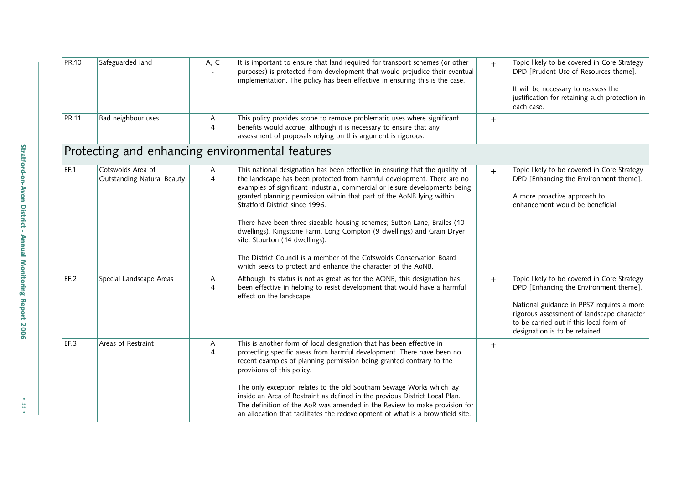| PR.10 | Safeguarded land                                | A, C                | It is important to ensure that land required for transport schemes (or other<br>purposes) is protected from development that would prejudice their eventual<br>implementation. The policy has been effective in ensuring this is the case.                                                                                                         | $+$ | Topic likely to be covered in Core Strategy<br>DPD [Prudent Use of Resources theme].<br>It will be necessary to reassess the<br>justification for retaining such protection in<br>each case.                                                                  |
|-------|-------------------------------------------------|---------------------|----------------------------------------------------------------------------------------------------------------------------------------------------------------------------------------------------------------------------------------------------------------------------------------------------------------------------------------------------|-----|---------------------------------------------------------------------------------------------------------------------------------------------------------------------------------------------------------------------------------------------------------------|
| PR.11 | Bad neighbour uses                              | A<br>$\overline{4}$ | This policy provides scope to remove problematic uses where significant<br>benefits would accrue, although it is necessary to ensure that any<br>assessment of proposals relying on this argument is rigorous.                                                                                                                                     | $+$ |                                                                                                                                                                                                                                                               |
|       |                                                 |                     | Protecting and enhancing environmental features                                                                                                                                                                                                                                                                                                    |     |                                                                                                                                                                                                                                                               |
| EF.1  | Cotswolds Area of<br>Outstanding Natural Beauty | A<br>$\overline{4}$ | This national designation has been effective in ensuring that the quality of<br>the landscape has been protected from harmful development. There are no<br>examples of significant industrial, commercial or leisure developments being<br>granted planning permission within that part of the AoNB lying within<br>Stratford District since 1996. | $+$ | Topic likely to be covered in Core Strategy<br>DPD [Enhancing the Environment theme].<br>A more proactive approach to<br>enhancement would be beneficial.                                                                                                     |
|       |                                                 |                     | There have been three sizeable housing schemes; Sutton Lane, Brailes (10<br>dwellings), Kingstone Farm, Long Compton (9 dwellings) and Grain Dryer<br>site, Stourton (14 dwellings).<br>The District Council is a member of the Cotswolds Conservation Board                                                                                       |     |                                                                                                                                                                                                                                                               |
|       |                                                 |                     | which seeks to protect and enhance the character of the AoNB.                                                                                                                                                                                                                                                                                      |     |                                                                                                                                                                                                                                                               |
| EF.2  | Special Landscape Areas                         | A<br>$\overline{4}$ | Although its status is not as great as for the AONB, this designation has<br>been effective in helping to resist development that would have a harmful<br>effect on the landscape.                                                                                                                                                                 | $+$ | Topic likely to be covered in Core Strategy<br>DPD [Enhancing the Environment theme].<br>National guidance in PPS7 requires a more<br>rigorous assessment of landscape character<br>to be carried out if this local form of<br>designation is to be retained. |
| EF.3  | Areas of Restraint                              | A<br>$\overline{4}$ | This is another form of local designation that has been effective in<br>protecting specific areas from harmful development. There have been no<br>recent examples of planning permission being granted contrary to the<br>provisions of this policy.<br>The only exception relates to the old Southam Sewage Works which lay                       | $+$ |                                                                                                                                                                                                                                                               |
|       |                                                 |                     | inside an Area of Restraint as defined in the previous District Local Plan.<br>The definition of the AoR was amended in the Review to make provision for<br>an allocation that facilitates the redevelopment of what is a brownfield site.                                                                                                         |     |                                                                                                                                                                                                                                                               |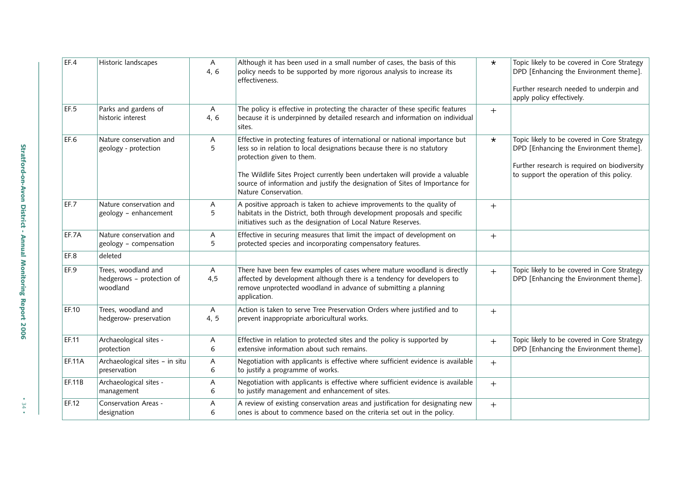| EF.4          | Historic landscapes                                          | A<br>4, 6            | Although it has been used in a small number of cases, the basis of this<br>policy needs to be supported by more rigorous analysis to increase its<br>effectiveness.                                                                                                                                                                                                          | $\star$ | Topic likely to be covered in Core Strategy<br>DPD [Enhancing the Environment theme].<br>Further research needed to underpin and<br>apply policy effectively.                     |
|---------------|--------------------------------------------------------------|----------------------|------------------------------------------------------------------------------------------------------------------------------------------------------------------------------------------------------------------------------------------------------------------------------------------------------------------------------------------------------------------------------|---------|-----------------------------------------------------------------------------------------------------------------------------------------------------------------------------------|
| EF.5          | Parks and gardens of<br>historic interest                    | $\mathsf{A}$<br>4, 6 | The policy is effective in protecting the character of these specific features<br>because it is underpinned by detailed research and information on individual<br>sites.                                                                                                                                                                                                     | $+$     |                                                                                                                                                                                   |
| EF.6          | Nature conservation and<br>geology - protection              | A<br>5               | Effective in protecting features of international or national importance but<br>less so in relation to local designations because there is no statutory<br>protection given to them.<br>The Wildlife Sites Project currently been undertaken will provide a valuable<br>source of information and justify the designation of Sites of Importance for<br>Nature Conservation. | $\star$ | Topic likely to be covered in Core Strategy<br>DPD [Enhancing the Environment theme].<br>Further research is required on biodiversity<br>to support the operation of this policy. |
| EF.7          | Nature conservation and<br>geology - enhancement             | A<br>5               | A positive approach is taken to achieve improvements to the quality of<br>habitats in the District, both through development proposals and specific<br>initiatives such as the designation of Local Nature Reserves.                                                                                                                                                         | $+$     |                                                                                                                                                                                   |
| EF.7A         | Nature conservation and<br>geology - compensation            | A<br>5               | Effective in securing measures that limit the impact of development on<br>protected species and incorporating compensatory features.                                                                                                                                                                                                                                         | $+$     |                                                                                                                                                                                   |
| EF.8          | deleted                                                      |                      |                                                                                                                                                                                                                                                                                                                                                                              |         |                                                                                                                                                                                   |
| EF.9          | Trees, woodland and<br>hedgerows - protection of<br>woodland | A<br>4,5             | There have been few examples of cases where mature woodland is directly<br>affected by development although there is a tendency for developers to<br>remove unprotected woodland in advance of submitting a planning<br>application.                                                                                                                                         | $+$     | Topic likely to be covered in Core Strategy<br>DPD [Enhancing the Environment theme].                                                                                             |
| EF.10         | Trees, woodland and<br>hedgerow- preservation                | A<br>4, 5            | Action is taken to serve Tree Preservation Orders where justified and to<br>prevent inappropriate arboricultural works.                                                                                                                                                                                                                                                      | $^{+}$  |                                                                                                                                                                                   |
| EF.11         | Archaeological sites -<br>protection                         | Α<br>6               | Effective in relation to protected sites and the policy is supported by<br>extensive information about such remains.                                                                                                                                                                                                                                                         | $+$     | Topic likely to be covered in Core Strategy<br>DPD [Enhancing the Environment theme].                                                                                             |
| <b>EF.11A</b> | Archaeological sites - in situ<br>preservation               | A<br>6               | Negotiation with applicants is effective where sufficient evidence is available<br>to justify a programme of works.                                                                                                                                                                                                                                                          | $+$     |                                                                                                                                                                                   |
| EF.11B        | Archaeological sites -<br>management                         | Α<br>6               | Negotiation with applicants is effective where sufficient evidence is available<br>to justify management and enhancement of sites.                                                                                                                                                                                                                                           | $+$     |                                                                                                                                                                                   |
| EF.12         | Conservation Areas -<br>designation                          | A<br>6               | A review of existing conservation areas and justification for designating new<br>ones is about to commence based on the criteria set out in the policy.                                                                                                                                                                                                                      | $^{+}$  |                                                                                                                                                                                   |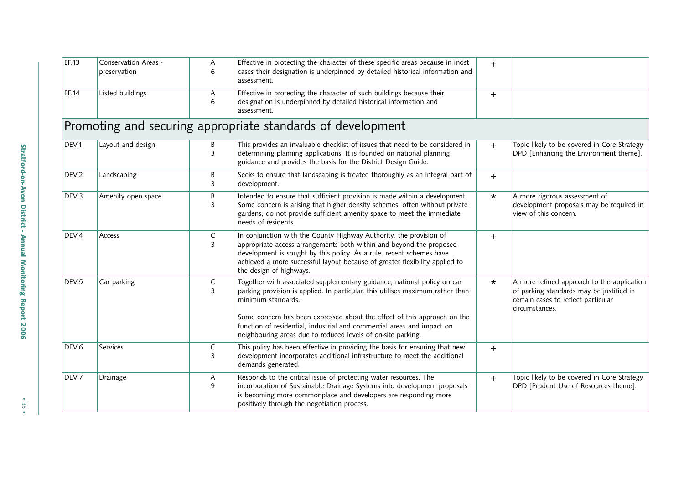| EF.13 | Conservation Areas -<br>preservation | Α<br>6              | Effective in protecting the character of these specific areas because in most<br>cases their designation is underpinned by detailed historical information and                                                                                                                                                                                                                                        | $+$     |                                                                                                                                                 |
|-------|--------------------------------------|---------------------|-------------------------------------------------------------------------------------------------------------------------------------------------------------------------------------------------------------------------------------------------------------------------------------------------------------------------------------------------------------------------------------------------------|---------|-------------------------------------------------------------------------------------------------------------------------------------------------|
|       |                                      |                     | assessment.                                                                                                                                                                                                                                                                                                                                                                                           |         |                                                                                                                                                 |
| EF.14 | Listed buildings                     | Α<br>6              | Effective in protecting the character of such buildings because their<br>designation is underpinned by detailed historical information and<br>assessment.                                                                                                                                                                                                                                             | $^{+}$  |                                                                                                                                                 |
|       |                                      |                     | Promoting and securing appropriate standards of development                                                                                                                                                                                                                                                                                                                                           |         |                                                                                                                                                 |
| DEV.1 | Layout and design                    | В<br>$\overline{3}$ | This provides an invaluable checklist of issues that need to be considered in<br>determining planning applications. It is founded on national planning<br>guidance and provides the basis for the District Design Guide.                                                                                                                                                                              | $+$     | Topic likely to be covered in Core Strategy<br>DPD [Enhancing the Environment theme].                                                           |
| DEV.2 | Landscaping                          | B<br>3              | Seeks to ensure that landscaping is treated thoroughly as an integral part of<br>development.                                                                                                                                                                                                                                                                                                         | $+$     |                                                                                                                                                 |
| DEV.3 | Amenity open space                   | $\sf B$<br>3        | Intended to ensure that sufficient provision is made within a development.<br>Some concern is arising that higher density schemes, often without private<br>gardens, do not provide sufficient amenity space to meet the immediate<br>needs of residents.                                                                                                                                             | $\star$ | A more rigorous assessment of<br>development proposals may be required in<br>view of this concern.                                              |
| DEV.4 | Access                               | C<br>$\overline{3}$ | In conjunction with the County Highway Authority, the provision of<br>appropriate access arrangements both within and beyond the proposed<br>development is sought by this policy. As a rule, recent schemes have<br>achieved a more successful layout because of greater flexibility applied to<br>the design of highways.                                                                           | $+$     |                                                                                                                                                 |
| DEV.5 | Car parking                          | $\mathsf{C}$<br>3   | Together with associated supplementary guidance, national policy on car<br>parking provision is applied. In particular, this utilises maximum rather than<br>minimum standards.<br>Some concern has been expressed about the effect of this approach on the<br>function of residential, industrial and commercial areas and impact on<br>neighbouring areas due to reduced levels of on-site parking. | $\star$ | A more refined approach to the application<br>of parking standards may be justified in<br>certain cases to reflect particular<br>circumstances. |
| DEV.6 | Services                             | C<br>3              | This policy has been effective in providing the basis for ensuring that new<br>development incorporates additional infrastructure to meet the additional<br>demands generated.                                                                                                                                                                                                                        | $+$     |                                                                                                                                                 |
| DEV.7 | Drainage                             | A<br>9              | Responds to the critical issue of protecting water resources. The<br>incorporation of Sustainable Drainage Systems into development proposals<br>is becoming more commonplace and developers are responding more<br>positively through the negotiation process.                                                                                                                                       | $+$     | Topic likely to be covered in Core Strategy<br>DPD [Prudent Use of Resources theme].                                                            |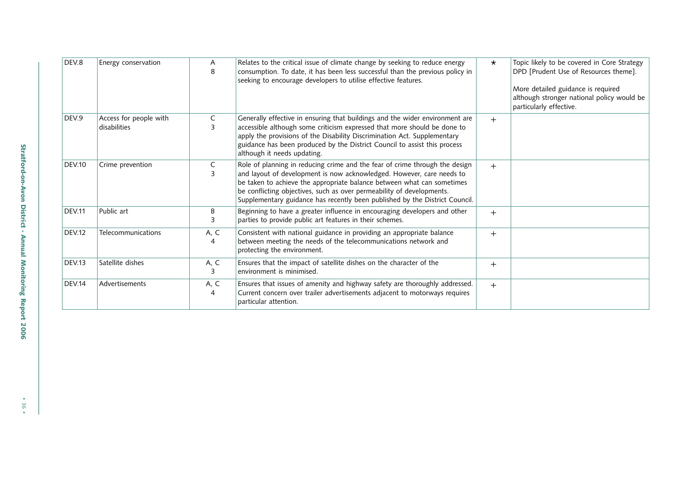| DEV.8         | Energy conservation                    | A<br>8              | Relates to the critical issue of climate change by seeking to reduce energy<br>consumption. To date, it has been less successful than the previous policy in<br>seeking to encourage developers to utilise effective features.                                                                                                                                                         | $\star$ | Topic likely to be covered in Core Strategy<br>DPD [Prudent Use of Resources theme].<br>More detailed guidance is required<br>although stronger national policy would be<br>particularly effective. |
|---------------|----------------------------------------|---------------------|----------------------------------------------------------------------------------------------------------------------------------------------------------------------------------------------------------------------------------------------------------------------------------------------------------------------------------------------------------------------------------------|---------|-----------------------------------------------------------------------------------------------------------------------------------------------------------------------------------------------------|
| DEV.9         | Access for people with<br>disabilities | C<br>3              | Generally effective in ensuring that buildings and the wider environment are<br>accessible although some criticism expressed that more should be done to<br>apply the provisions of the Disability Discrimination Act. Supplementary<br>guidance has been produced by the District Council to assist this process<br>although it needs updating.                                       | $+$     |                                                                                                                                                                                                     |
| <b>DEV.10</b> | Crime prevention                       | C<br>$\overline{3}$ | Role of planning in reducing crime and the fear of crime through the design<br>and layout of development is now acknowledged. However, care needs to<br>be taken to achieve the appropriate balance between what can sometimes<br>be conflicting objectives, such as over permeability of developments.<br>Supplementary guidance has recently been published by the District Council. | $+$     |                                                                                                                                                                                                     |
| <b>DEV.11</b> | Public art                             | B                   | Beginning to have a greater influence in encouraging developers and other<br>parties to provide public art features in their schemes.                                                                                                                                                                                                                                                  | $+$     |                                                                                                                                                                                                     |
| <b>DEV.12</b> | Telecommunications                     | A, C<br>4           | Consistent with national guidance in providing an appropriate balance<br>between meeting the needs of the telecommunications network and<br>protecting the environment.                                                                                                                                                                                                                | $+$     |                                                                                                                                                                                                     |
| DEV.13        | Satellite dishes                       | A, C<br>3           | Ensures that the impact of satellite dishes on the character of the<br>environment is minimised.                                                                                                                                                                                                                                                                                       | $+$     |                                                                                                                                                                                                     |
| DEV.14        | Advertisements                         | A, C<br>4           | Ensures that issues of amenity and highway safety are thoroughly addressed.<br>Current concern over trailer advertisements adjacent to motorways requires<br>particular attention.                                                                                                                                                                                                     | $+$     |                                                                                                                                                                                                     |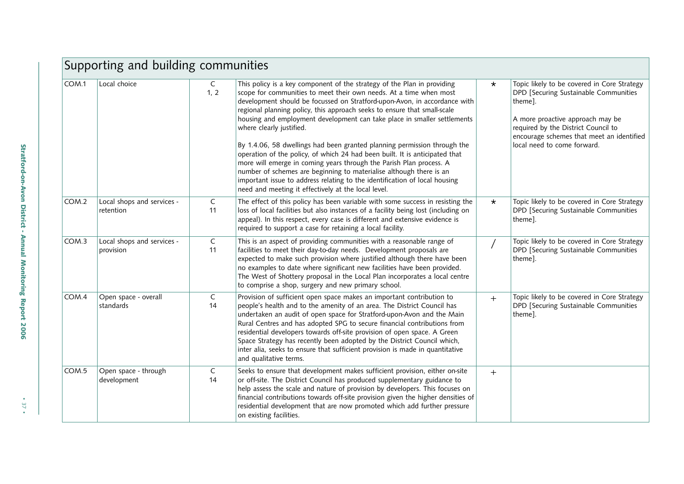|       | Supporting and building communities     |                    |                                                                                                                                                                                                                                                                                                                                                                                                                                                                                                                                                                                                                                                                                                                                                                                                                                                              |         |                                                                                                                                                                                                                                                        |  |  |  |  |
|-------|-----------------------------------------|--------------------|--------------------------------------------------------------------------------------------------------------------------------------------------------------------------------------------------------------------------------------------------------------------------------------------------------------------------------------------------------------------------------------------------------------------------------------------------------------------------------------------------------------------------------------------------------------------------------------------------------------------------------------------------------------------------------------------------------------------------------------------------------------------------------------------------------------------------------------------------------------|---------|--------------------------------------------------------------------------------------------------------------------------------------------------------------------------------------------------------------------------------------------------------|--|--|--|--|
| COM.1 | Local choice                            | C<br>1, 2          | This policy is a key component of the strategy of the Plan in providing<br>scope for communities to meet their own needs. At a time when most<br>development should be focussed on Stratford-upon-Avon, in accordance with<br>regional planning policy, this approach seeks to ensure that small-scale<br>housing and employment development can take place in smaller settlements<br>where clearly justified.<br>By 1.4.06, 58 dwellings had been granted planning permission through the<br>operation of the policy, of which 24 had been built. It is anticipated that<br>more will emerge in coming years through the Parish Plan process. A<br>number of schemes are beginning to materialise although there is an<br>important issue to address relating to the identification of local housing<br>need and meeting it effectively at the local level. | $\star$ | Topic likely to be covered in Core Strategy<br>DPD [Securing Sustainable Communities<br>theme].<br>A more proactive approach may be<br>required by the District Council to<br>encourage schemes that meet an identified<br>local need to come forward. |  |  |  |  |
| COM.2 | Local shops and services -<br>retention | C<br>11            | The effect of this policy has been variable with some success in resisting the<br>loss of local facilities but also instances of a facility being lost (including on<br>appeal). In this respect, every case is different and extensive evidence is<br>required to support a case for retaining a local facility.                                                                                                                                                                                                                                                                                                                                                                                                                                                                                                                                            | $\star$ | Topic likely to be covered in Core Strategy<br>DPD [Securing Sustainable Communities<br>theme].                                                                                                                                                        |  |  |  |  |
| COM.3 | Local shops and services -<br>provision | C<br>11            | This is an aspect of providing communities with a reasonable range of<br>facilities to meet their day-to-day needs. Development proposals are<br>expected to make such provision where justified although there have been<br>no examples to date where significant new facilities have been provided.<br>The West of Shottery proposal in the Local Plan incorporates a local centre<br>to comprise a shop, surgery and new primary school.                                                                                                                                                                                                                                                                                                                                                                                                                  |         | Topic likely to be covered in Core Strategy<br>DPD [Securing Sustainable Communities<br>theme].                                                                                                                                                        |  |  |  |  |
| COM.4 | Open space - overall<br>standards       | C<br>14            | Provision of sufficient open space makes an important contribution to<br>people's health and to the amenity of an area. The District Council has<br>undertaken an audit of open space for Stratford-upon-Avon and the Main<br>Rural Centres and has adopted SPG to secure financial contributions from<br>residential developers towards off-site provision of open space. A Green<br>Space Strategy has recently been adopted by the District Council which,<br>inter alia, seeks to ensure that sufficient provision is made in quantitative<br>and qualitative terms.                                                                                                                                                                                                                                                                                     | $+$     | Topic likely to be covered in Core Strategy<br>DPD [Securing Sustainable Communities<br>theme].                                                                                                                                                        |  |  |  |  |
| COM.5 | Open space - through<br>development     | $\mathsf{C}$<br>14 | Seeks to ensure that development makes sufficient provision, either on-site<br>or off-site. The District Council has produced supplementary guidance to<br>help assess the scale and nature of provision by developers. This focuses on<br>financial contributions towards off-site provision given the higher densities of<br>residential development that are now promoted which add further pressure<br>on existing facilities.                                                                                                                                                                                                                                                                                                                                                                                                                           | $+$     |                                                                                                                                                                                                                                                        |  |  |  |  |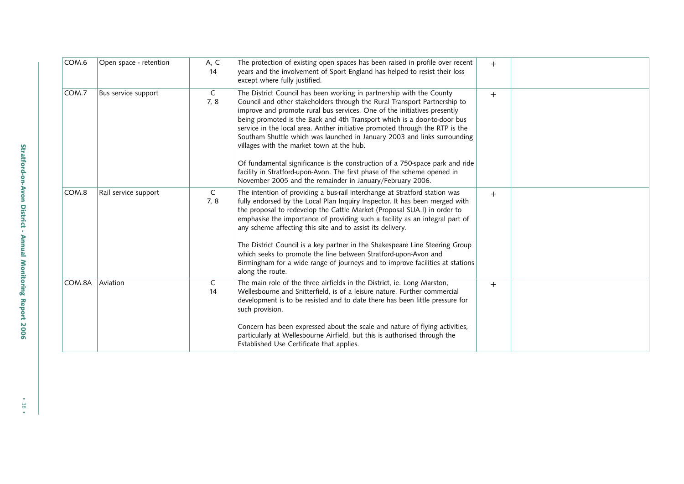| COM.6  | Open space - retention | A, C<br>14          | The protection of existing open spaces has been raised in profile over recent<br>years and the involvement of Sport England has helped to resist their loss<br>except where fully justified.                                                                                                                                                                                                                                                                                                                                                                                                                                                                                                                                                | $+$ |  |
|--------|------------------------|---------------------|---------------------------------------------------------------------------------------------------------------------------------------------------------------------------------------------------------------------------------------------------------------------------------------------------------------------------------------------------------------------------------------------------------------------------------------------------------------------------------------------------------------------------------------------------------------------------------------------------------------------------------------------------------------------------------------------------------------------------------------------|-----|--|
| COM.7  | Bus service support    | $\mathsf{C}$<br>7,8 | The District Council has been working in partnership with the County<br>Council and other stakeholders through the Rural Transport Partnership to<br>improve and promote rural bus services. One of the initiatives presently<br>being promoted is the Back and 4th Transport which is a door-to-door bus<br>service in the local area. Anther initiative promoted through the RTP is the<br>Southam Shuttle which was launched in January 2003 and links surrounding<br>villages with the market town at the hub.<br>Of fundamental significance is the construction of a 750-space park and ride<br>facility in Stratford-upon-Avon. The first phase of the scheme opened in<br>November 2005 and the remainder in January/February 2006. | $+$ |  |
| COM.8  | Rail service support   | $\mathsf{C}$<br>7,8 | The intention of providing a bus-rail interchange at Stratford station was<br>fully endorsed by the Local Plan Inquiry Inspector. It has been merged with<br>the proposal to redevelop the Cattle Market (Proposal SUA.I) in order to<br>emphasise the importance of providing such a facility as an integral part of<br>any scheme affecting this site and to assist its delivery.<br>The District Council is a key partner in the Shakespeare Line Steering Group<br>which seeks to promote the line between Stratford-upon-Avon and<br>Birmingham for a wide range of journeys and to improve facilities at stations<br>along the route.                                                                                                 | $+$ |  |
| COM.8A | Aviation               | C<br>14             | The main role of the three airfields in the District, ie. Long Marston,<br>Wellesbourne and Snitterfield, is of a leisure nature. Further commercial<br>development is to be resisted and to date there has been little pressure for<br>such provision.<br>Concern has been expressed about the scale and nature of flying activities,<br>particularly at Wellesbourne Airfield, but this is authorised through the<br>Established Use Certificate that applies.                                                                                                                                                                                                                                                                            | $+$ |  |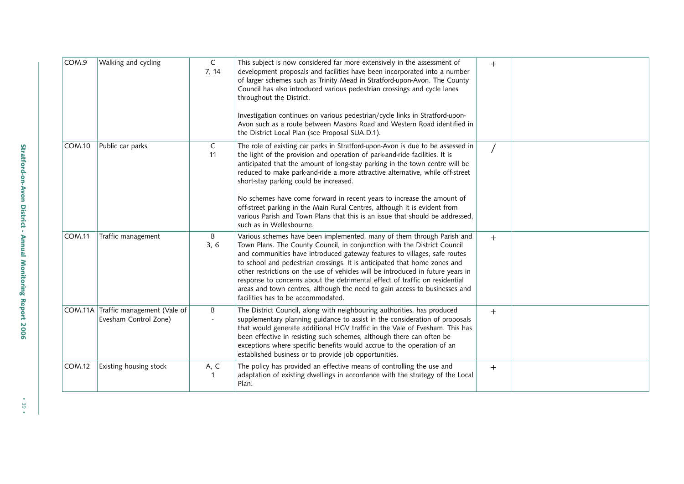| COM.9         | Walking and cycling                                          | C<br>7, 14 | This subject is now considered far more extensively in the assessment of<br>development proposals and facilities have been incorporated into a number<br>of larger schemes such as Trinity Mead in Stratford-upon-Avon. The County<br>Council has also introduced various pedestrian crossings and cycle lanes<br>throughout the District.<br>Investigation continues on various pedestrian/cycle links in Stratford-upon-<br>Avon such as a route between Masons Road and Western Road identified in<br>the District Local Plan (see Proposal SUA.D.1).                                                                                    | $+$ |  |
|---------------|--------------------------------------------------------------|------------|---------------------------------------------------------------------------------------------------------------------------------------------------------------------------------------------------------------------------------------------------------------------------------------------------------------------------------------------------------------------------------------------------------------------------------------------------------------------------------------------------------------------------------------------------------------------------------------------------------------------------------------------|-----|--|
| COM.10        | Public car parks                                             | C<br>11    | The role of existing car parks in Stratford-upon-Avon is due to be assessed in<br>the light of the provision and operation of park-and-ride facilities. It is<br>anticipated that the amount of long-stay parking in the town centre will be<br>reduced to make park-and-ride a more attractive alternative, while off-street<br>short-stay parking could be increased.<br>No schemes have come forward in recent years to increase the amount of<br>off-street parking in the Main Rural Centres, although it is evident from<br>various Parish and Town Plans that this is an issue that should be addressed,<br>such as in Wellesbourne. |     |  |
| <b>COM.11</b> | Traffic management                                           | B<br>3, 6  | Various schemes have been implemented, many of them through Parish and<br>Town Plans. The County Council, in conjunction with the District Council<br>and communities have introduced gateway features to villages, safe routes<br>to school and pedestrian crossings. It is anticipated that home zones and<br>other restrictions on the use of vehicles will be introduced in future years in<br>response to concerns about the detrimental effect of traffic on residential<br>areas and town centres, although the need to gain access to businesses and<br>facilities has to be accommodated.                                          | $+$ |  |
|               | COM.11A Traffic management (Vale of<br>Evesham Control Zone) | B          | The District Council, along with neighbouring authorities, has produced<br>supplementary planning guidance to assist in the consideration of proposals<br>that would generate additional HGV traffic in the Vale of Evesham. This has<br>been effective in resisting such schemes, although there can often be<br>exceptions where specific benefits would accrue to the operation of an<br>established business or to provide job opportunities.                                                                                                                                                                                           | $+$ |  |
| <b>COM.12</b> | Existing housing stock                                       | A, C<br>-1 | The policy has provided an effective means of controlling the use and<br>adaptation of existing dwellings in accordance with the strategy of the Local<br>Plan.                                                                                                                                                                                                                                                                                                                                                                                                                                                                             | $+$ |  |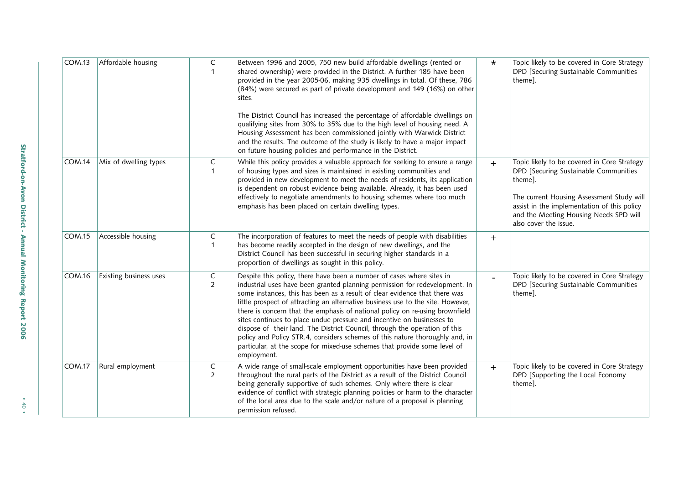| COM.13        | Affordable housing     | C<br>-1             | Between 1996 and 2005, 750 new build affordable dwellings (rented or<br>shared ownership) were provided in the District. A further 185 have been<br>provided in the year 2005-06, making 935 dwellings in total. Of these, 786<br>(84%) were secured as part of private development and 149 (16%) on other<br>sites.                                                                                                                                                                                                                                                                                                                                                                                                                      | $\star$ | Topic likely to be covered in Core Strategy<br>DPD [Securing Sustainable Communities<br>theme].                                                                                                                                                                |
|---------------|------------------------|---------------------|-------------------------------------------------------------------------------------------------------------------------------------------------------------------------------------------------------------------------------------------------------------------------------------------------------------------------------------------------------------------------------------------------------------------------------------------------------------------------------------------------------------------------------------------------------------------------------------------------------------------------------------------------------------------------------------------------------------------------------------------|---------|----------------------------------------------------------------------------------------------------------------------------------------------------------------------------------------------------------------------------------------------------------------|
|               |                        |                     | The District Council has increased the percentage of affordable dwellings on<br>qualifying sites from 30% to 35% due to the high level of housing need. A<br>Housing Assessment has been commissioned jointly with Warwick District<br>and the results. The outcome of the study is likely to have a major impact<br>on future housing policies and performance in the District.                                                                                                                                                                                                                                                                                                                                                          |         |                                                                                                                                                                                                                                                                |
| <b>COM.14</b> | Mix of dwelling types  | C<br>$\mathbf{1}$   | While this policy provides a valuable approach for seeking to ensure a range<br>of housing types and sizes is maintained in existing communities and<br>provided in new development to meet the needs of residents, its application<br>is dependent on robust evidence being available. Already, it has been used<br>effectively to negotiate amendments to housing schemes where too much<br>emphasis has been placed on certain dwelling types.                                                                                                                                                                                                                                                                                         | $+$     | Topic likely to be covered in Core Strategy<br>DPD [Securing Sustainable Communities<br>theme].<br>The current Housing Assessment Study will<br>assist in the implementation of this policy<br>and the Meeting Housing Needs SPD will<br>also cover the issue. |
| <b>COM.15</b> | Accessible housing     | C<br>$\mathbf 1$    | The incorporation of features to meet the needs of people with disabilities<br>has become readily accepted in the design of new dwellings, and the<br>District Council has been successful in securing higher standards in a<br>proportion of dwellings as sought in this policy.                                                                                                                                                                                                                                                                                                                                                                                                                                                         | $+$     |                                                                                                                                                                                                                                                                |
| COM.16        | Existing business uses | C<br>$\overline{2}$ | Despite this policy, there have been a number of cases where sites in<br>industrial uses have been granted planning permission for redevelopment. In<br>some instances, this has been as a result of clear evidence that there was<br>little prospect of attracting an alternative business use to the site. However,<br>there is concern that the emphasis of national policy on re-using brownfield<br>sites continues to place undue pressure and incentive on businesses to<br>dispose of their land. The District Council, through the operation of this<br>policy and Policy STR.4, considers schemes of this nature thoroughly and, in<br>particular, at the scope for mixed-use schemes that provide some level of<br>employment. |         | Topic likely to be covered in Core Strategy<br>DPD [Securing Sustainable Communities<br>theme].                                                                                                                                                                |
| <b>COM.17</b> | Rural employment       | C<br>$\overline{2}$ | A wide range of small-scale employment opportunities have been provided<br>throughout the rural parts of the District as a result of the District Council<br>being generally supportive of such schemes. Only where there is clear<br>evidence of conflict with strategic planning policies or harm to the character<br>of the local area due to the scale and/or nature of a proposal is planning<br>permission refused.                                                                                                                                                                                                                                                                                                                 | $+$     | Topic likely to be covered in Core Strategy<br>DPD [Supporting the Local Economy<br>theme].                                                                                                                                                                    |

• 40 •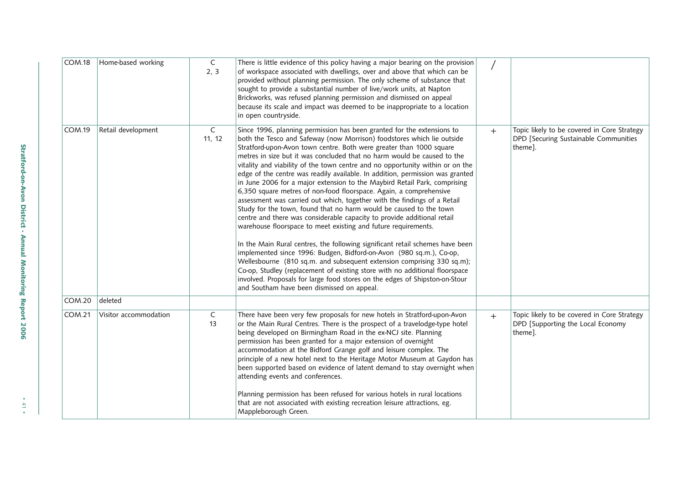| <b>COM.18</b> | Home-based working    | C<br>2, 3   | There is little evidence of this policy having a major bearing on the provision<br>of workspace associated with dwellings, over and above that which can be<br>provided without planning permission. The only scheme of substance that<br>sought to provide a substantial number of live/work units, at Napton<br>Brickworks, was refused planning permission and dismissed on appeal<br>because its scale and impact was deemed to be inappropriate to a location<br>in open countryside.                                                                                                                                                                                                                                                                                                                                                                                                                                                                                                                                                                                                                                                                                                                                                                                                                                                                           |     |                                                                                                 |
|---------------|-----------------------|-------------|----------------------------------------------------------------------------------------------------------------------------------------------------------------------------------------------------------------------------------------------------------------------------------------------------------------------------------------------------------------------------------------------------------------------------------------------------------------------------------------------------------------------------------------------------------------------------------------------------------------------------------------------------------------------------------------------------------------------------------------------------------------------------------------------------------------------------------------------------------------------------------------------------------------------------------------------------------------------------------------------------------------------------------------------------------------------------------------------------------------------------------------------------------------------------------------------------------------------------------------------------------------------------------------------------------------------------------------------------------------------|-----|-------------------------------------------------------------------------------------------------|
| <b>COM.19</b> | Retail development    | C<br>11, 12 | Since 1996, planning permission has been granted for the extensions to<br>both the Tesco and Safeway (now Morrison) foodstores which lie outside<br>Stratford-upon-Avon town centre. Both were greater than 1000 square<br>metres in size but it was concluded that no harm would be caused to the<br>vitality and viability of the town centre and no opportunity within or on the<br>edge of the centre was readily available. In addition, permission was granted<br>in June 2006 for a major extension to the Maybird Retail Park, comprising<br>6,350 square metres of non-food floorspace. Again, a comprehensive<br>assessment was carried out which, together with the findings of a Retail<br>Study for the town, found that no harm would be caused to the town<br>centre and there was considerable capacity to provide additional retail<br>warehouse floorspace to meet existing and future requirements.<br>In the Main Rural centres, the following significant retail schemes have been<br>implemented since 1996: Budgen, Bidford-on-Avon (980 sq.m.), Co-op,<br>Wellesbourne (810 sq.m. and subsequent extension comprising 330 sq.m);<br>Co-op, Studley (replacement of existing store with no additional floorspace<br>involved. Proposals for large food stores on the edges of Shipston-on-Stour<br>and Southam have been dismissed on appeal. | $+$ | Topic likely to be covered in Core Strategy<br>DPD [Securing Sustainable Communities<br>theme]. |
| COM.20        | deleted               |             |                                                                                                                                                                                                                                                                                                                                                                                                                                                                                                                                                                                                                                                                                                                                                                                                                                                                                                                                                                                                                                                                                                                                                                                                                                                                                                                                                                      |     |                                                                                                 |
| <b>COM.21</b> | Visitor accommodation | C<br>13     | There have been very few proposals for new hotels in Stratford-upon-Avon<br>or the Main Rural Centres. There is the prospect of a travelodge-type hotel<br>being developed on Birmingham Road in the ex-NCJ site. Planning<br>permission has been granted for a major extension of overnight<br>accommodation at the Bidford Grange golf and leisure complex. The<br>principle of a new hotel next to the Heritage Motor Museum at Gaydon has<br>been supported based on evidence of latent demand to stay overnight when<br>attending events and conferences.<br>Planning permission has been refused for various hotels in rural locations<br>that are not associated with existing recreation leisure attractions, eg.<br>Mappleborough Green.                                                                                                                                                                                                                                                                                                                                                                                                                                                                                                                                                                                                                    | $+$ | Topic likely to be covered in Core Strategy<br>DPD [Supporting the Local Economy<br>theme].     |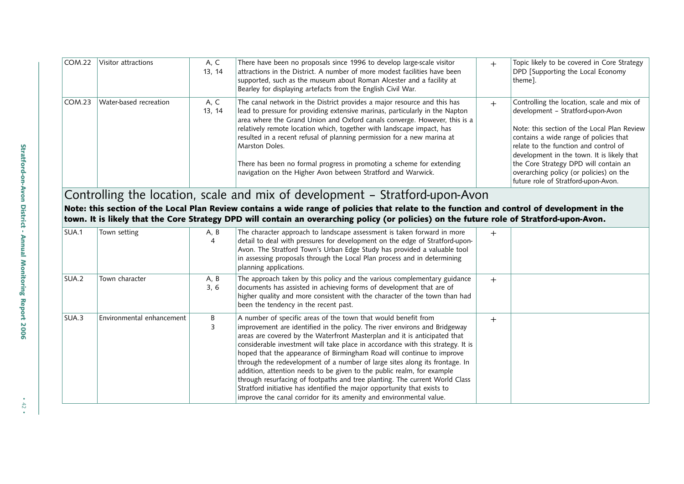| <b>COM.22</b>     | Visitor attractions       | A, C<br>13, 14 | There have been no proposals since 1996 to develop large-scale visitor<br>attractions in the District. A number of more modest facilities have been<br>supported, such as the museum about Roman Alcester and a facility at<br>Bearley for displaying artefacts from the English Civil War.                                                                                                                                                                                                                                                          | $+$ | Topic likely to be covered in Core Strategy<br>DPD [Supporting the Local Economy<br>theme].                                                                                                                                                                                                                                                                                                |
|-------------------|---------------------------|----------------|------------------------------------------------------------------------------------------------------------------------------------------------------------------------------------------------------------------------------------------------------------------------------------------------------------------------------------------------------------------------------------------------------------------------------------------------------------------------------------------------------------------------------------------------------|-----|--------------------------------------------------------------------------------------------------------------------------------------------------------------------------------------------------------------------------------------------------------------------------------------------------------------------------------------------------------------------------------------------|
| COM.23            | Water-based recreation    | A, C<br>13, 14 | The canal network in the District provides a major resource and this has<br>lead to pressure for providing extensive marinas, particularly in the Napton<br>area where the Grand Union and Oxford canals converge. However, this is a<br>relatively remote location which, together with landscape impact, has<br>resulted in a recent refusal of planning permission for a new marina at<br>Marston Doles.<br>There has been no formal progress in promoting a scheme for extending<br>navigation on the Higher Avon between Stratford and Warwick. | $+$ | Controlling the location, scale and mix of<br>development - Stratford-upon-Avon<br>Note: this section of the Local Plan Review<br>contains a wide range of policies that<br>relate to the function and control of<br>development in the town. It is likely that<br>the Core Strategy DPD will contain an<br>overarching policy (or policies) on the<br>future role of Stratford-upon-Avon. |
|                   |                           |                | Controlling the location, scale and mix of development - Stratford-upon-Avon<br>Note: this section of the Local Plan Review contains a wide range of policies that relate to the function and control of development in the<br>town. It is likely that the Core Strategy DPD will contain an overarching policy (or policies) on the future role of Stratford-upon-Avon.                                                                                                                                                                             |     |                                                                                                                                                                                                                                                                                                                                                                                            |
| SUA.1             | Town setting              | A, B<br>4      | The character approach to landscape assessment is taken forward in more<br>detail to deal with pressures for development on the edge of Stratford-upon-<br>Avon. The Stratford Town's Urban Edge Study has provided a valuable tool<br>in assessing proposals through the Local Plan process and in determining<br>planning applications.                                                                                                                                                                                                            | $+$ |                                                                                                                                                                                                                                                                                                                                                                                            |
| SUA.2             | Town character            | A, B<br>3, 6   | The approach taken by this policy and the various complementary guidance<br>documents has assisted in achieving forms of development that are of<br>higher quality and more consistent with the character of the town than had<br>been the tendency in the recent past.                                                                                                                                                                                                                                                                              | $+$ |                                                                                                                                                                                                                                                                                                                                                                                            |
| CIIA <sub>2</sub> | Environmental enhancement | D              | A number of concific areas of the town that would benefit from                                                                                                                                                                                                                                                                                                                                                                                                                                                                                       |     |                                                                                                                                                                                                                                                                                                                                                                                            |

| SUA.2 | Town character            | A, B<br>3, 6 | The approach taken by this policy and the various complementary guidance<br>documents has assisted in achieving forms of development that are of<br>higher quality and more consistent with the character of the town than had<br>been the tendency in the recent past.                                                                                                                                                                                                                                                                                                                                                                                                                                                                                                          | $\pm$ |  |
|-------|---------------------------|--------------|----------------------------------------------------------------------------------------------------------------------------------------------------------------------------------------------------------------------------------------------------------------------------------------------------------------------------------------------------------------------------------------------------------------------------------------------------------------------------------------------------------------------------------------------------------------------------------------------------------------------------------------------------------------------------------------------------------------------------------------------------------------------------------|-------|--|
| SUA.3 | Environmental enhancement | B.           | A number of specific areas of the town that would benefit from<br>improvement are identified in the policy. The river environs and Bridgeway<br>areas are covered by the Waterfront Masterplan and it is anticipated that<br>considerable investment will take place in accordance with this strategy. It is<br>hoped that the appearance of Birmingham Road will continue to improve<br>through the redevelopment of a number of large sites along its frontage. In<br>addition, attention needs to be given to the public realm, for example<br>through resurfacing of footpaths and tree planting. The current World Class<br>Stratford initiative has identified the major opportunity that exists to<br>improve the canal corridor for its amenity and environmental value. |       |  |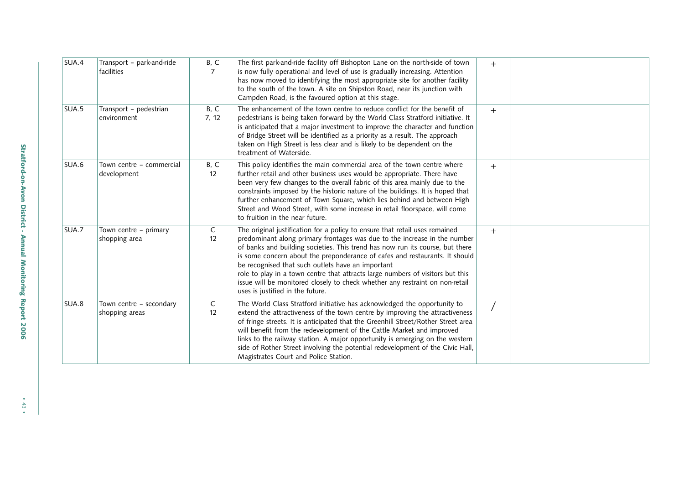| SUA.4 | Transport - park-and-ride<br>facilities   | B, C<br>7          | The first park-and-ride facility off Bishopton Lane on the north-side of town<br>is now fully operational and level of use is gradually increasing. Attention<br>has now moved to identifying the most appropriate site for another facility<br>to the south of the town. A site on Shipston Road, near its junction with<br>Campden Road, is the favoured option at this stage.                                                                                                                                                                                                    | $+$ |  |
|-------|-------------------------------------------|--------------------|-------------------------------------------------------------------------------------------------------------------------------------------------------------------------------------------------------------------------------------------------------------------------------------------------------------------------------------------------------------------------------------------------------------------------------------------------------------------------------------------------------------------------------------------------------------------------------------|-----|--|
| SUA.5 | Transport - pedestrian<br>environment     | B, C<br>7, 12      | The enhancement of the town centre to reduce conflict for the benefit of<br>pedestrians is being taken forward by the World Class Stratford initiative. It<br>is anticipated that a major investment to improve the character and function<br>of Bridge Street will be identified as a priority as a result. The approach<br>taken on High Street is less clear and is likely to be dependent on the<br>treatment of Waterside.                                                                                                                                                     | $+$ |  |
| SUA.6 | Town centre - commercial<br>development   | B, C<br>12         | This policy identifies the main commercial area of the town centre where<br>further retail and other business uses would be appropriate. There have<br>been very few changes to the overall fabric of this area mainly due to the<br>constraints imposed by the historic nature of the buildings. It is hoped that<br>further enhancement of Town Square, which lies behind and between High<br>Street and Wood Street, with some increase in retail floorspace, will come<br>to fruition in the near future.                                                                       | $+$ |  |
| SUA.7 | Town centre - primary<br>shopping area    | C<br>12            | The original justification for a policy to ensure that retail uses remained<br>predominant along primary frontages was due to the increase in the number<br>of banks and building societies. This trend has now run its course, but there<br>is some concern about the preponderance of cafes and restaurants. It should<br>be recognised that such outlets have an important<br>role to play in a town centre that attracts large numbers of visitors but this<br>issue will be monitored closely to check whether any restraint on non-retail<br>uses is justified in the future. | $+$ |  |
| SUA.8 | Town centre - secondary<br>shopping areas | $\mathsf{C}$<br>12 | The World Class Stratford initiative has acknowledged the opportunity to<br>extend the attractiveness of the town centre by improving the attractiveness<br>of fringe streets. It is anticipated that the Greenhill Street/Rother Street area<br>will benefit from the redevelopment of the Cattle Market and improved<br>links to the railway station. A major opportunity is emerging on the western<br>side of Rother Street involving the potential redevelopment of the Civic Hall,<br>Magistrates Court and Police Station.                                                   |     |  |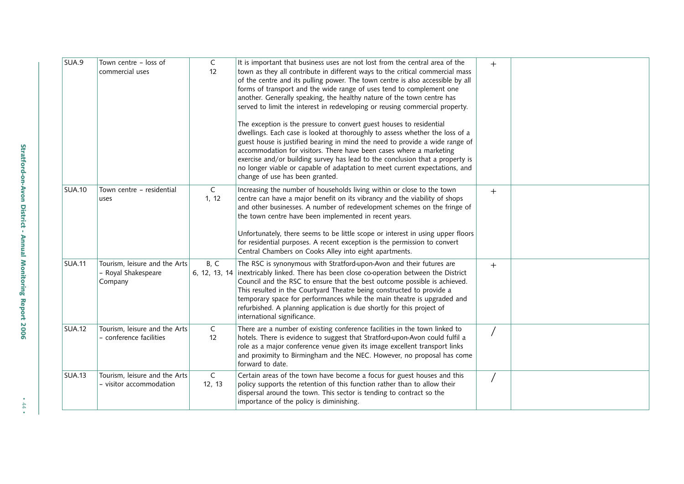| SUA.9         | Town centre - loss of<br>commercial uses                        | C<br>12                | It is important that business uses are not lost from the central area of the<br>town as they all contribute in different ways to the critical commercial mass<br>of the centre and its pulling power. The town centre is also accessible by all<br>forms of transport and the wide range of uses tend to complement one<br>another. Generally speaking, the healthy nature of the town centre has<br>served to limit the interest in redeveloping or reusing commercial property.<br>The exception is the pressure to convert guest houses to residential<br>dwellings. Each case is looked at thoroughly to assess whether the loss of a<br>guest house is justified bearing in mind the need to provide a wide range of<br>accommodation for visitors. There have been cases where a marketing<br>exercise and/or building survey has lead to the conclusion that a property is<br>no longer viable or capable of adaptation to meet current expectations, and<br>change of use has been granted. | $+$    |  |
|---------------|-----------------------------------------------------------------|------------------------|-----------------------------------------------------------------------------------------------------------------------------------------------------------------------------------------------------------------------------------------------------------------------------------------------------------------------------------------------------------------------------------------------------------------------------------------------------------------------------------------------------------------------------------------------------------------------------------------------------------------------------------------------------------------------------------------------------------------------------------------------------------------------------------------------------------------------------------------------------------------------------------------------------------------------------------------------------------------------------------------------------|--------|--|
| <b>SUA.10</b> | Town centre - residential<br>uses                               | $\mathsf{C}$<br>1, 12  | Increasing the number of households living within or close to the town<br>centre can have a major benefit on its vibrancy and the viability of shops<br>and other businesses. A number of redevelopment schemes on the fringe of<br>the town centre have been implemented in recent years.<br>Unfortunately, there seems to be little scope or interest in using upper floors<br>for residential purposes. A recent exception is the permission to convert<br>Central Chambers on Cooks Alley into eight apartments.                                                                                                                                                                                                                                                                                                                                                                                                                                                                                | $+$    |  |
| <b>SUA.11</b> | Tourism, leisure and the Arts<br>- Royal Shakespeare<br>Company | B, C<br>6, 12, 13, 14  | The RSC is synonymous with Stratford-upon-Avon and their futures are<br>inextricably linked. There has been close co-operation between the District<br>Council and the RSC to ensure that the best outcome possible is achieved.<br>This resulted in the Courtyard Theatre being constructed to provide a<br>temporary space for performances while the main theatre is upgraded and<br>refurbished. A planning application is due shortly for this project of<br>international significance.                                                                                                                                                                                                                                                                                                                                                                                                                                                                                                       | $^{+}$ |  |
| <b>SUA.12</b> | Tourism, leisure and the Arts<br>- conference facilities        | C<br>12                | There are a number of existing conference facilities in the town linked to<br>hotels. There is evidence to suggest that Stratford-upon-Avon could fulfil a<br>role as a major conference venue given its image excellent transport links<br>and proximity to Birmingham and the NEC. However, no proposal has come<br>forward to date.                                                                                                                                                                                                                                                                                                                                                                                                                                                                                                                                                                                                                                                              |        |  |
| <b>SUA.13</b> | Tourism, leisure and the Arts<br>- visitor accommodation        | $\mathsf{C}$<br>12, 13 | Certain areas of the town have become a focus for guest houses and this<br>policy supports the retention of this function rather than to allow their<br>dispersal around the town. This sector is tending to contract so the<br>importance of the policy is diminishing.                                                                                                                                                                                                                                                                                                                                                                                                                                                                                                                                                                                                                                                                                                                            |        |  |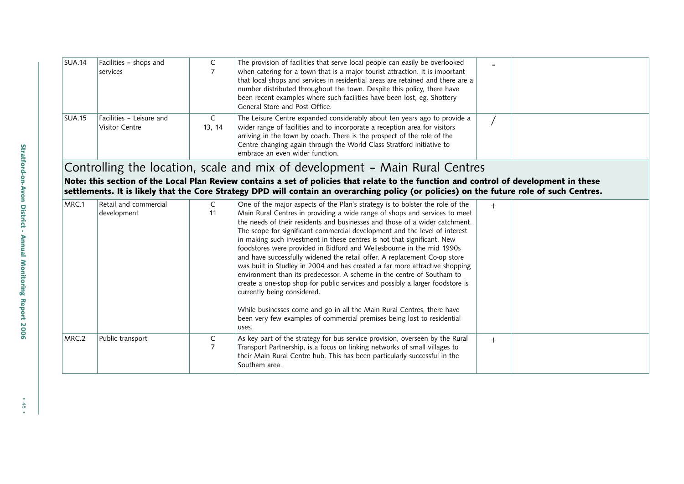| SUA.14 | Facilities - shops and<br>services         |        | The provision of facilities that serve local people can easily be overlooked<br>when catering for a town that is a major tourist attraction. It is important<br>that local shops and services in residential areas are retained and there are a<br>number distributed throughout the town. Despite this policy, there have<br>been recent examples where such facilities have been lost, eg. Shottery<br>General Store and Post Office. |  |
|--------|--------------------------------------------|--------|-----------------------------------------------------------------------------------------------------------------------------------------------------------------------------------------------------------------------------------------------------------------------------------------------------------------------------------------------------------------------------------------------------------------------------------------|--|
| SUA.15 | Facilities - Leisure and<br>Visitor Centre | 13, 14 | The Leisure Centre expanded considerably about ten years ago to provide a<br>wider range of facilities and to incorporate a reception area for visitors<br>arriving in the town by coach. There is the prospect of the role of the<br>Centre changing again through the World Class Stratford initiative to<br>embrace an even wider function.                                                                                          |  |

Controlling the location, scale and mix of development – Main Rural Centres

Note: this section of the Local Plan Review contains a set of policies that relate to the function and control of development in these settlements. It is likely that the Core Strategy DPD will contain an overarching policy (or policies) on the future role of such Centres.

| MRC.1 | Retail and commercial |    | One of the major aspects of the Plan's strategy is to bolster the role of the                                                                              | $^{+}$ |  |
|-------|-----------------------|----|------------------------------------------------------------------------------------------------------------------------------------------------------------|--------|--|
|       | development           | 11 | Main Rural Centres in providing a wide range of shops and services to meet                                                                                 |        |  |
|       |                       |    | the needs of their residents and businesses and those of a wider catchment.                                                                                |        |  |
|       |                       |    | The scope for significant commercial development and the level of interest                                                                                 |        |  |
|       |                       |    | in making such investment in these centres is not that significant. New                                                                                    |        |  |
|       |                       |    | foodstores were provided in Bidford and Wellesbourne in the mid 1990s                                                                                      |        |  |
|       |                       |    | and have successfully widened the retail offer. A replacement Co-op store                                                                                  |        |  |
|       |                       |    | was built in Studley in 2004 and has created a far more attractive shopping                                                                                |        |  |
|       |                       |    | environment than its predecessor. A scheme in the centre of Southam to                                                                                     |        |  |
|       |                       |    | create a one-stop shop for public services and possibly a larger foodstore is                                                                              |        |  |
|       |                       |    | currently being considered.                                                                                                                                |        |  |
|       |                       |    | While businesses come and go in all the Main Rural Centres, there have<br>been very few examples of commercial premises being lost to residential<br>uses. |        |  |
| MRC.2 | Public transport      | C  | As key part of the strategy for bus service provision, overseen by the Rural                                                                               | $^{+}$ |  |
|       |                       |    | Transport Partnership, is a focus on linking networks of small villages to                                                                                 |        |  |
|       |                       |    | their Main Rural Centre hub. This has been particularly successful in the                                                                                  |        |  |
|       |                       |    | Southam area.                                                                                                                                              |        |  |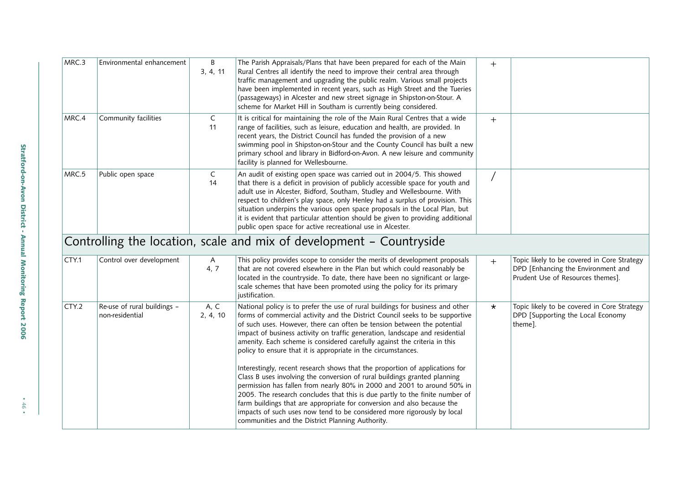| MRC.3 | Environmental enhancement                      | B<br>3, 4, 11        | The Parish Appraisals/Plans that have been prepared for each of the Main<br>Rural Centres all identify the need to improve their central area through<br>traffic management and upgrading the public realm. Various small projects<br>have been implemented in recent years, such as High Street and the Tueries<br>(passageways) in Alcester and new street signage in Shipston-on-Stour. A<br>scheme for Market Hill in Southam is currently being considered.                                                                                       | $+$     |                                                                                                                        |
|-------|------------------------------------------------|----------------------|--------------------------------------------------------------------------------------------------------------------------------------------------------------------------------------------------------------------------------------------------------------------------------------------------------------------------------------------------------------------------------------------------------------------------------------------------------------------------------------------------------------------------------------------------------|---------|------------------------------------------------------------------------------------------------------------------------|
| MRC.4 | Community facilities                           | C<br>11              | It is critical for maintaining the role of the Main Rural Centres that a wide<br>range of facilities, such as leisure, education and health, are provided. In<br>recent years, the District Council has funded the provision of a new<br>swimming pool in Shipston-on-Stour and the County Council has built a new<br>primary school and library in Bidford-on-Avon. A new leisure and community<br>facility is planned for Wellesbourne.                                                                                                              | $+$     |                                                                                                                        |
| MRC.5 | Public open space                              | C<br>14              | An audit of existing open space was carried out in 2004/5. This showed<br>that there is a deficit in provision of publicly accessible space for youth and<br>adult use in Alcester, Bidford, Southam, Studley and Wellesbourne. With<br>respect to children's play space, only Henley had a surplus of provision. This<br>situation underpins the various open space proposals in the Local Plan, but<br>it is evident that particular attention should be given to providing additional<br>public open space for active recreational use in Alcester. |         |                                                                                                                        |
|       |                                                |                      | Controlling the location, scale and mix of development – Countryside                                                                                                                                                                                                                                                                                                                                                                                                                                                                                   |         |                                                                                                                        |
| CTY.1 | Control over development                       | $\mathsf{A}$<br>4, 7 | This policy provides scope to consider the merits of development proposals<br>that are not covered elsewhere in the Plan but which could reasonably be<br>located in the countryside. To date, there have been no significant or large-<br>scale schemes that have been promoted using the policy for its primary<br>justification.                                                                                                                                                                                                                    | $+$     | Topic likely to be covered in Core Strategy<br>DPD [Enhancing the Environment and<br>Prudent Use of Resources themes]. |
| CTY.2 | Re-use of rural buildings -<br>non-residential | A, C<br>2, 4, 10     | National policy is to prefer the use of rural buildings for business and other<br>forms of commercial activity and the District Council seeks to be supportive<br>of such uses. However, there can often be tension between the potential<br>impact of business activity on traffic generation, landscape and residential<br>amenity. Each scheme is considered carefully against the criteria in this<br>policy to ensure that it is appropriate in the circumstances.                                                                                | $\star$ | Topic likely to be covered in Core Strategy<br>DPD [Supporting the Local Economy<br>theme].                            |
|       |                                                |                      | Interestingly, recent research shows that the proportion of applications for<br>Class B uses involving the conversion of rural buildings granted planning<br>permission has fallen from nearly 80% in 2000 and 2001 to around 50% in<br>2005. The research concludes that this is due partly to the finite number of<br>farm buildings that are appropriate for conversion and also because the<br>impacts of such uses now tend to be considered more rigorously by local<br>communities and the District Planning Authority.                         |         |                                                                                                                        |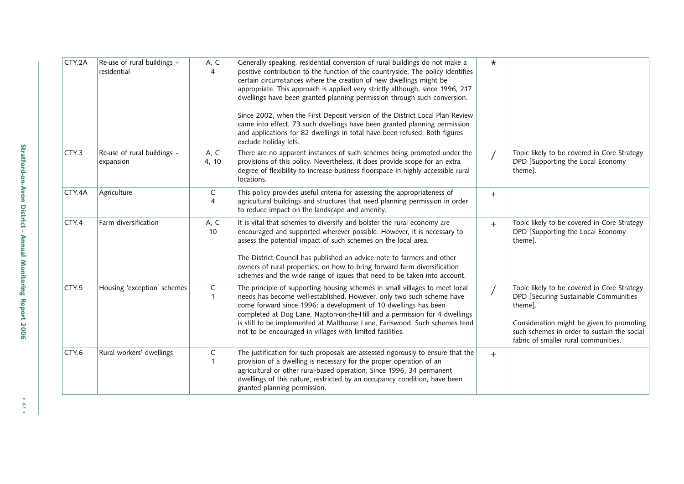| CTY.2A            | Re-use of rural buildings -<br>residential | A, C<br>4                   | Generally speaking, residential conversion of rural buildings do not make a<br>positive contribution to the function of the countryside. The policy identifies<br>certain circumstances where the creation of new dwellings might be<br>appropriate. This approach is applied very strictly although, since 1996, 217<br>dwellings have been granted planning permission through such conversion.<br>Since 2002, when the First Deposit version of the District Local Plan Review<br>came into effect, 73 such dwellings have been granted planning permission<br>and applications for 82 dwellings in total have been refused. Both figures<br>exclude holiday lets. | $\star$ |                                                                                                                                                                                                                                     |
|-------------------|--------------------------------------------|-----------------------------|-----------------------------------------------------------------------------------------------------------------------------------------------------------------------------------------------------------------------------------------------------------------------------------------------------------------------------------------------------------------------------------------------------------------------------------------------------------------------------------------------------------------------------------------------------------------------------------------------------------------------------------------------------------------------|---------|-------------------------------------------------------------------------------------------------------------------------------------------------------------------------------------------------------------------------------------|
| CTY.3             | Re-use of rural buildings -<br>expansion   | A, C<br>4, 10               | There are no apparent instances of such schemes being promoted under the<br>provisions of this policy. Nevertheless, it does provide scope for an extra<br>degree of flexibility to increase business floorspace in highly accessible rural<br>locations.                                                                                                                                                                                                                                                                                                                                                                                                             |         | Topic likely to be covered in Core Strategy<br>DPD [Supporting the Local Economy<br>theme].                                                                                                                                         |
| CTY.4A            | Agriculture                                | C<br>$\overline{4}$         | This policy provides useful criteria for assessing the appropriateness of<br>agricultural buildings and structures that need planning permission in order<br>to reduce impact on the landscape and amenity.                                                                                                                                                                                                                                                                                                                                                                                                                                                           | $+$     |                                                                                                                                                                                                                                     |
| CTY.4             | Farm diversification                       | A, C<br>10 <sup>°</sup>     | It is vital that schemes to diversify and bolster the rural economy are<br>encouraged and supported wherever possible. However, it is necessary to<br>assess the potential impact of such schemes on the local area.<br>The District Council has published an advice note to farmers and other<br>owners of rural properties, on how to bring forward farm diversification<br>schemes and the wide range of issues that need to be taken into account.                                                                                                                                                                                                                | $+$     | Topic likely to be covered in Core Strategy<br>DPD [Supporting the Local Economy<br>theme].                                                                                                                                         |
| CTY <sub>.5</sub> | Housing 'exception' schemes                | $\mathsf C$<br>$\mathbf{1}$ | The principle of supporting housing schemes in small villages to meet local<br>needs has become well-established. However, only two such scheme have<br>come forward since 1996; a development of 10 dwellings has been<br>completed at Dog Lane, Napton-on-the-Hill and a permission for 4 dwellings<br>is still to be implemented at Malthouse Lane, Earlswood. Such schemes tend<br>not to be encouraged in villages with limited facilities.                                                                                                                                                                                                                      |         | Topic likely to be covered in Core Strategy<br>DPD [Securing Sustainable Communities<br>theme].<br>Consideration might be given to promoting<br>such schemes in order to sustain the social<br>fabric of smaller rural communities. |
| CTY.6             | Rural workers' dwellings                   | C<br>$\mathbf{1}$           | The justification for such proposals are assessed rigorously to ensure that the<br>provision of a dwelling is necessary for the proper operation of an<br>agricultural or other rural-based operation. Since 1996, 34 permanent<br>dwellings of this nature, restricted by an occupancy condition, have been<br>granted planning permission.                                                                                                                                                                                                                                                                                                                          | $+$     |                                                                                                                                                                                                                                     |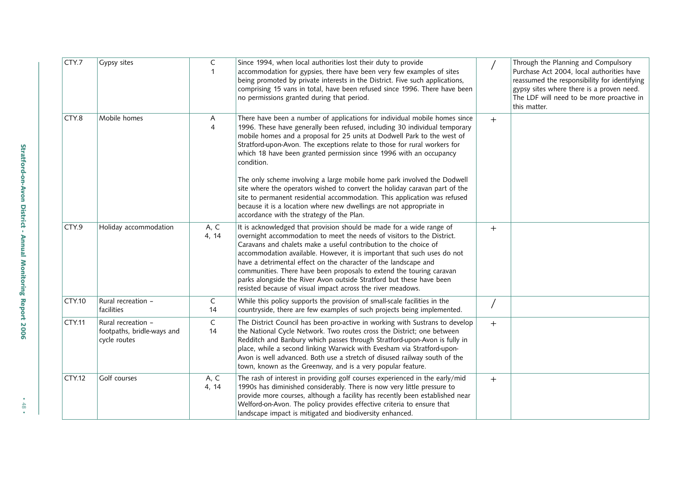| CTY.7         | Gypsy sites                                                      | $\mathsf C$<br>$\mathbf{1}$ | Since 1994, when local authorities lost their duty to provide<br>accommodation for gypsies, there have been very few examples of sites<br>being promoted by private interests in the District. Five such applications,<br>comprising 15 vans in total, have been refused since 1996. There have been<br>no permissions granted during that period.                                                                                                                                                                                                                                                                                                                                                                                                             |        | Through the Planning and Compulsory<br>Purchase Act 2004, local authorities have<br>reassumed the responsibility for identifying<br>gypsy sites where there is a proven need.<br>The LDF will need to be more proactive in<br>this matter. |
|---------------|------------------------------------------------------------------|-----------------------------|----------------------------------------------------------------------------------------------------------------------------------------------------------------------------------------------------------------------------------------------------------------------------------------------------------------------------------------------------------------------------------------------------------------------------------------------------------------------------------------------------------------------------------------------------------------------------------------------------------------------------------------------------------------------------------------------------------------------------------------------------------------|--------|--------------------------------------------------------------------------------------------------------------------------------------------------------------------------------------------------------------------------------------------|
| CTY.8         | Mobile homes                                                     | A<br>$\overline{4}$         | There have been a number of applications for individual mobile homes since<br>1996. These have generally been refused, including 30 individual temporary<br>mobile homes and a proposal for 25 units at Dodwell Park to the west of<br>Stratford-upon-Avon. The exceptions relate to those for rural workers for<br>which 18 have been granted permission since 1996 with an occupancy<br>condition.<br>The only scheme involving a large mobile home park involved the Dodwell<br>site where the operators wished to convert the holiday caravan part of the<br>site to permanent residential accommodation. This application was refused<br>because it is a location where new dwellings are not appropriate in<br>accordance with the strategy of the Plan. | $+$    |                                                                                                                                                                                                                                            |
| CTY.9         | Holiday accommodation                                            | A, C<br>4, 14               | It is acknowledged that provision should be made for a wide range of<br>overnight accommodation to meet the needs of visitors to the District.<br>Caravans and chalets make a useful contribution to the choice of<br>accommodation available. However, it is important that such uses do not<br>have a detrimental effect on the character of the landscape and<br>communities. There have been proposals to extend the touring caravan<br>parks alongside the River Avon outside Stratford but these have been<br>resisted because of visual impact across the river meadows.                                                                                                                                                                                | $+$    |                                                                                                                                                                                                                                            |
| <b>CTY.10</b> | Rural recreation -<br>facilities                                 | C<br>14                     | While this policy supports the provision of small-scale facilities in the<br>countryside, there are few examples of such projects being implemented.                                                                                                                                                                                                                                                                                                                                                                                                                                                                                                                                                                                                           |        |                                                                                                                                                                                                                                            |
| <b>CTY.11</b> | Rural recreation -<br>footpaths, bridle-ways and<br>cycle routes | $\mathsf C$<br>14           | The District Council has been pro-active in working with Sustrans to develop<br>the National Cycle Network. Two routes cross the District; one between<br>Redditch and Banbury which passes through Stratford-upon-Avon is fully in<br>place, while a second linking Warwick with Evesham via Stratford-upon-<br>Avon is well advanced. Both use a stretch of disused railway south of the<br>town, known as the Greenway, and is a very popular feature.                                                                                                                                                                                                                                                                                                      | $^{+}$ |                                                                                                                                                                                                                                            |
| <b>CTY.12</b> | Golf courses                                                     | A, C<br>4, 14               | The rash of interest in providing golf courses experienced in the early/mid<br>1990s has diminished considerably. There is now very little pressure to<br>provide more courses, although a facility has recently been established near<br>Welford-on-Avon. The policy provides effective criteria to ensure that<br>landscape impact is mitigated and biodiversity enhanced.                                                                                                                                                                                                                                                                                                                                                                                   | $+$    |                                                                                                                                                                                                                                            |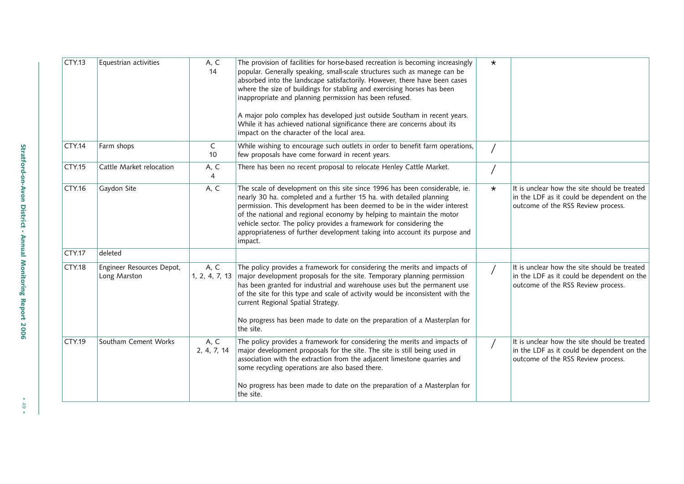| CTY.13        | Equestrian activities                     | A, C<br>14             | The provision of facilities for horse-based recreation is becoming increasingly<br>popular. Generally speaking, small-scale structures such as manege can be<br>absorbed into the landscape satisfactorily. However, there have been cases<br>where the size of buildings for stabling and exercising horses has been<br>inappropriate and planning permission has been refused.<br>A major polo complex has developed just outside Southam in recent years.<br>While it has achieved national significance there are concerns about its<br>impact on the character of the local area. | $\star$ |                                                                                                                                  |
|---------------|-------------------------------------------|------------------------|----------------------------------------------------------------------------------------------------------------------------------------------------------------------------------------------------------------------------------------------------------------------------------------------------------------------------------------------------------------------------------------------------------------------------------------------------------------------------------------------------------------------------------------------------------------------------------------|---------|----------------------------------------------------------------------------------------------------------------------------------|
| CTY.14        | Farm shops                                | C<br>10                | While wishing to encourage such outlets in order to benefit farm operations,<br>few proposals have come forward in recent years.                                                                                                                                                                                                                                                                                                                                                                                                                                                       |         |                                                                                                                                  |
| CTY.15        | Cattle Market relocation                  | A, C<br>$\overline{4}$ | There has been no recent proposal to relocate Henley Cattle Market.                                                                                                                                                                                                                                                                                                                                                                                                                                                                                                                    |         |                                                                                                                                  |
| CTY.16        | Gaydon Site                               | A, C                   | The scale of development on this site since 1996 has been considerable, ie.<br>nearly 30 ha. completed and a further 15 ha. with detailed planning<br>permission. This development has been deemed to be in the wider interest<br>of the national and regional economy by helping to maintain the motor<br>vehicle sector. The policy provides a framework for considering the<br>appropriateness of further development taking into account its purpose and<br>impact.                                                                                                                | $\star$ | It is unclear how the site should be treated<br>in the LDF as it could be dependent on the<br>outcome of the RSS Review process. |
| CTY.17        | deleted                                   |                        |                                                                                                                                                                                                                                                                                                                                                                                                                                                                                                                                                                                        |         |                                                                                                                                  |
| <b>CTY.18</b> | Engineer Resources Depot,<br>Long Marston | A, C<br>1, 2, 4, 7, 13 | The policy provides a framework for considering the merits and impacts of<br>major development proposals for the site. Temporary planning permission<br>has been granted for industrial and warehouse uses but the permanent use<br>of the site for this type and scale of activity would be inconsistent with the<br>current Regional Spatial Strategy.<br>No progress has been made to date on the preparation of a Masterplan for<br>the site.                                                                                                                                      |         | It is unclear how the site should be treated<br>in the LDF as it could be dependent on the<br>outcome of the RSS Review process. |
| CTY.19        | Southam Cement Works                      | A, C<br>2, 4, 7, 14    | The policy provides a framework for considering the merits and impacts of<br>major development proposals for the site. The site is still being used in<br>association with the extraction from the adjacent limestone quarries and<br>some recycling operations are also based there.<br>No progress has been made to date on the preparation of a Masterplan for<br>the site.                                                                                                                                                                                                         |         | It is unclear how the site should be treated<br>in the LDF as it could be dependent on the<br>outcome of the RSS Review process. |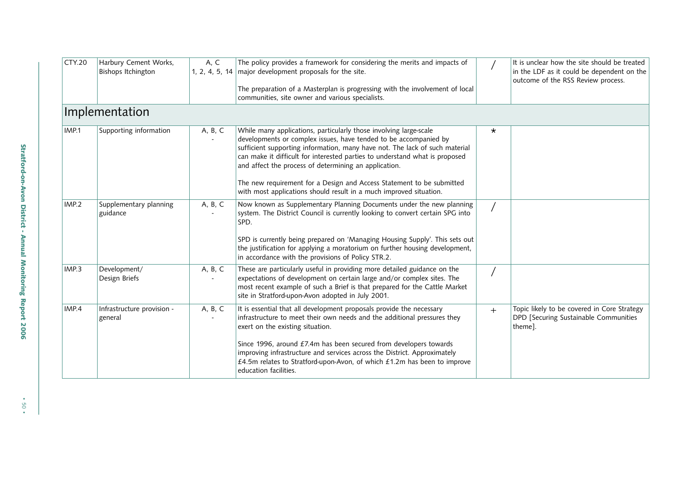| <b>CTY.20</b> | Harbury Cement Works,<br>Bishops Itchington | A, C    | The policy provides a framework for considering the merits and impacts of<br>1, 2, 4, 5, 14 major development proposals for the site.                                                                                                                                                                                                                                                                                                 |         | It is unclear how the site should be treated<br>in the LDF as it could be dependent on the<br>outcome of the RSS Review process. |
|---------------|---------------------------------------------|---------|---------------------------------------------------------------------------------------------------------------------------------------------------------------------------------------------------------------------------------------------------------------------------------------------------------------------------------------------------------------------------------------------------------------------------------------|---------|----------------------------------------------------------------------------------------------------------------------------------|
|               |                                             |         | The preparation of a Masterplan is progressing with the involvement of local<br>communities, site owner and various specialists.                                                                                                                                                                                                                                                                                                      |         |                                                                                                                                  |
|               | Implementation                              |         |                                                                                                                                                                                                                                                                                                                                                                                                                                       |         |                                                                                                                                  |
| IMP.1         | Supporting information                      | A, B, C | While many applications, particularly those involving large-scale<br>developments or complex issues, have tended to be accompanied by<br>sufficient supporting information, many have not. The lack of such material<br>can make it difficult for interested parties to understand what is proposed<br>and affect the process of determining an application.<br>The new requirement for a Design and Access Statement to be submitted | $\star$ |                                                                                                                                  |
|               |                                             |         | with most applications should result in a much improved situation.                                                                                                                                                                                                                                                                                                                                                                    |         |                                                                                                                                  |
| IMP.2         | Supplementary planning<br>guidance          | A, B, C | Now known as Supplementary Planning Documents under the new planning<br>system. The District Council is currently looking to convert certain SPG into<br>SPD.                                                                                                                                                                                                                                                                         |         |                                                                                                                                  |
|               |                                             |         | SPD is currently being prepared on 'Managing Housing Supply'. This sets out<br>the justification for applying a moratorium on further housing development,<br>in accordance with the provisions of Policy STR.2.                                                                                                                                                                                                                      |         |                                                                                                                                  |
| IMP.3         | Development/<br>Design Briefs               | A, B, C | These are particularly useful in providing more detailed guidance on the<br>expectations of development on certain large and/or complex sites. The<br>most recent example of such a Brief is that prepared for the Cattle Market<br>site in Stratford-upon-Avon adopted in July 2001.                                                                                                                                                 |         |                                                                                                                                  |
| IMP.4         | Infrastructure provision -<br>general       | A, B, C | It is essential that all development proposals provide the necessary<br>infrastructure to meet their own needs and the additional pressures they<br>exert on the existing situation.                                                                                                                                                                                                                                                  | $+$     | Topic likely to be covered in Core Strategy<br>DPD [Securing Sustainable Communities<br>theme].                                  |
|               |                                             |         | Since 1996, around £7.4m has been secured from developers towards<br>improving infrastructure and services across the District. Approximately<br>£4.5m relates to Stratford-upon-Avon, of which £1.2m has been to improve<br>education facilities.                                                                                                                                                                                    |         |                                                                                                                                  |